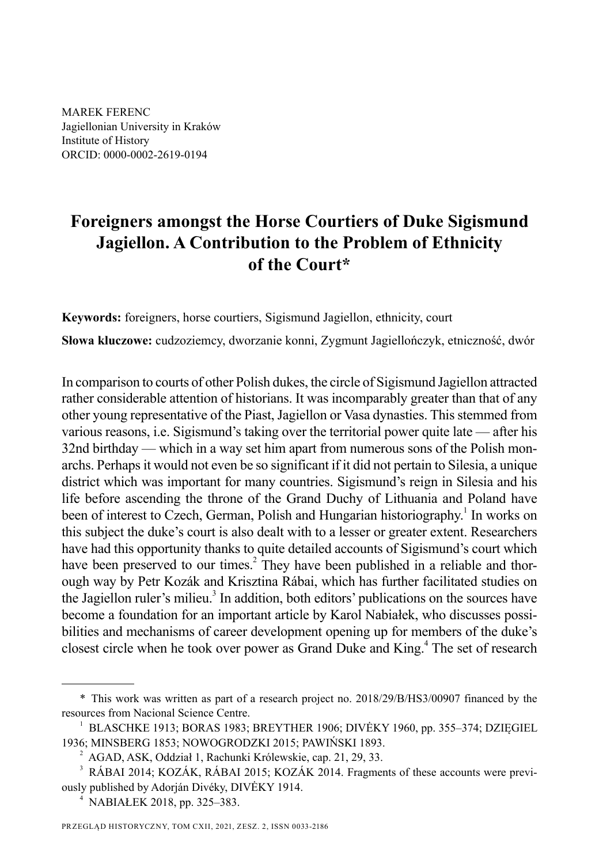MAREK FERENC Jagiellonian University in Kraków Institute of History ORCID: 0000-0002-2619-0194

# **Foreigners amongst the Horse Courtiers of Duke Sigismund Jagiellon . A Contribution to the Problem of Ethnicity of the Court\***

**Keywords:** foreigners, horse courtiers, Sigismund Jagiellon, ethnicity, court

**Słowa kluczowe:** cudzoziemcy, dworzanie konni, Zygmunt Jagiellończyk, etniczność, dwór

In comparison to courts of other Polish dukes, the circle of Sigismund Jagiellon attracted rather considerable attention of historians. It was incomparably greater than that of any other young representative of the Piast, Jagiellon or Vasa dynasties. This stemmed from various reasons, i.e. Sigismund's taking over the territorial power quite late — after his 32nd birthday — which in a way set him apart from numerous sons of the Polish monarchs. Perhaps it would not even be so significant if it did not pertain to Silesia, a unique district which was important for many countries. Sigismund's reign in Silesia and his life before ascending the throne of the Grand Duchy of Lithuania and Poland have been of interest to Czech, German, Polish and Hungarian historiography.<sup>1</sup> In works on this subject the duke's court is also dealt with to a lesser or greater extent. Researchers have had this opportunity thanks to quite detailed accounts of Sigismund's court which have been preserved to our times.<sup>2</sup> They have been published in a reliable and thorough way by Petr Kozák and Krisztina Rábai, which has further facilitated studies on the Jagiellon ruler's milieu.<sup>3</sup> In addition, both editors' publications on the sources have become a foundation for an important article by Karol Nabiałek, who discusses possibilities and mechanisms of career development opening up for members of the duke's closest circle when he took over power as Grand Duke and King.<sup>4</sup> The set of research

<sup>\*</sup> This work was written as part of a research project no. 2018/29/B/HS3/00907 financed by the resources from Nacional Science Centre.

<sup>1</sup> BLASCHKE 1913; BORAS 1983; BREYTHER 1906; DIVĖKY 1960, pp. 355–374; DZIĘGIEL 1936; MINSBERG 1853; NOWOGRODZKI 2015; PAWIŃSKI 1893.

<sup>2</sup> AGAD, ASK, Oddział 1, Rachunki Królewskie, cap. 21, 29, 33.

<sup>3</sup> RÁBAI 2014; KOZÁK, RÁBAI 2015; KOZÁK 2014. Fragments of these accounts were previously published by Adorján Divéky, DIVĖKY 1914.

<sup>4</sup> NABIAŁEK 2018, pp. 325–383.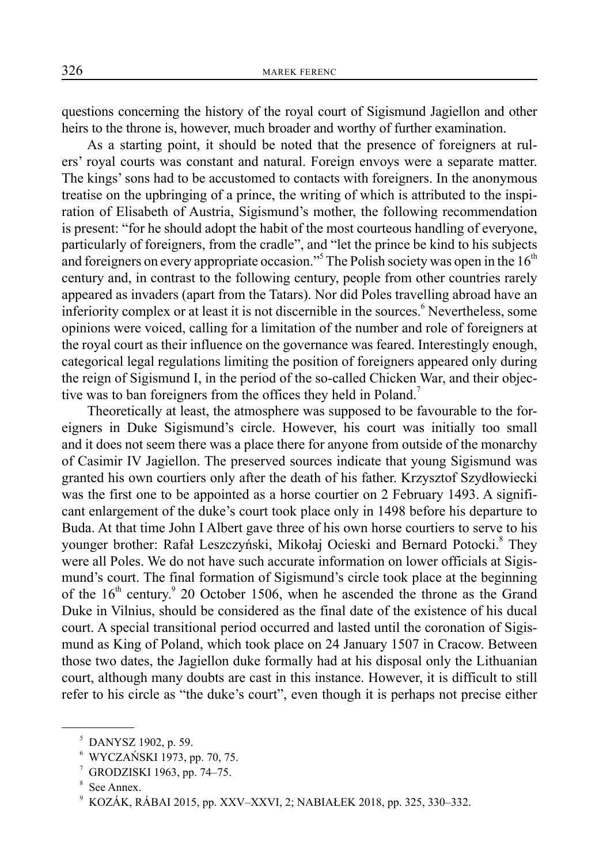questions concerning the history of the royal court of Sigismund Jagiellon and other heirs to the throne is, however, much broader and worthy of further examination.

As a starting point, it should be noted that the presence of foreigners at rulers' royal courts was constant and natural. Foreign envoys were a separate matter. The kings' sons had to be accustomed to contacts with foreigners. In the anonymous treatise on the upbringing of a prince, the writing of which is attributed to the inspiration of Elisabeth of Austria, Sigismund's mother, the following recommendation is present: "for he should adopt the habit of the most courteous handling of everyone, particularly of foreigners, from the cradle", and "let the prince be kind to his subjects and foreigners on every appropriate occasion."<sup>5</sup> The Polish society was open in the  $16<sup>th</sup>$ century and, in contrast to the following century, people from other countries rarely appeared as invaders (apart from the Tatars). Nor did Poles travelling abroad have an inferiority complex or at least it is not discernible in the sources.<sup>6</sup> Nevertheless, some opinions were voiced, calling for a limitation of the number and role of foreigners at the royal court as their influence on the governance was feared. Interestingly enough, categorical legal regulations limiting the position of foreigners appeared only during the reign of Sigismund I, in the period of the so-called Chicken War, and their objective was to ban foreigners from the offices they held in Poland.<sup>7</sup>

Theoretically at least, the atmosphere was supposed to be favourable to the foreigners in Duke Sigismund's circle. However, his court was initially too small and it does not seem there was a place there for anyone from outside of the monarchy of Casimir IV Jagiellon. The preserved sources indicate that young Sigismund was granted his own courtiers only after the death of his father. Krzysztof Szydłowiecki was the first one to be appointed as a horse courtier on 2 February 1493. A significant enlargement of the duke's court took place only in 1498 before his departure to Buda. At that time John I Albert gave three of his own horse courtiers to serve to his younger brother: Rafał Leszczyński, Mikołaj Ocieski and Bernard Potocki.<sup>8</sup> They were all Poles. We do not have such accurate information on lower officials at Sigismund's court. The final formation of Sigismund's circle took place at the beginning of the  $16<sup>th</sup>$  century.<sup>9</sup> 20 October 1506, when he ascended the throne as the Grand Duke in Vilnius, should be considered as the final date of the existence of his ducal court. A special transitional period occurred and lasted until the coronation of Sigismund as King of Poland, which took place on 24 January 1507 in Cracow. Between those two dates, the Jagiellon duke formally had at his disposal only the Lithuanian court, although many doubts are cast in this instance. However, it is difficult to still refer to his circle as "the duke's court", even though it is perhaps not precise either

<sup>5</sup> DANYSZ 1902, p. 59.

<sup>6</sup> WYCZAŃSKI 1973, pp. 70, 75.

<sup>7</sup> GRODZISKI 1963, pp. 74–75.

<sup>8</sup> See Annex.

<sup>9</sup> KOZÁK, RÁBAI 2015, pp. XXV–XXVI, 2; NABIAŁEK 2018, pp. 325, 330–332.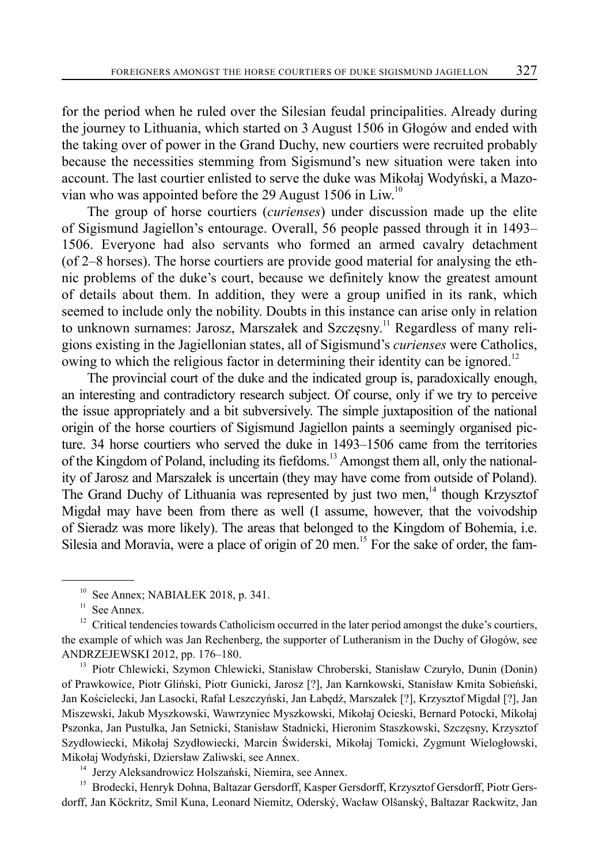for the period when he ruled over the Silesian feudal principalities. Already during the journey to Lithuania, which started on 3 August 1506 in Głogów and ended with the taking over of power in the Grand Duchy, new courtiers were recruited probably because the necessities stemming from Sigismund's new situation were taken into account. The last courtier enlisted to serve the duke was Mikołaj Wodyński, a Mazovian who was appointed before the 29 August 1506 in Liw.<sup>10</sup>

The group of horse courtiers (*curienses*) under discussion made up the elite of Sigismund Jagiellon's entourage. Overall, 56 people passed through it in 1493– 1506. Everyone had also servants who formed an armed cavalry detachment (of 2–8 horses). The horse courtiers are provide good material for analysing the ethnic problems of the duke's court, because we definitely know the greatest amount of details about them. In addition, they were a group unified in its rank, which seemed to include only the nobility. Doubts in this instance can arise only in relation to unknown surnames: Jarosz, Marszałek and Szczęsny.<sup>11</sup> Regardless of many religions existing in the Jagiellonian states, all of Sigismund's *curienses* were Catholics, owing to which the religious factor in determining their identity can be ignored.<sup>12</sup>

The provincial court of the duke and the indicated group is, paradoxically enough, an interesting and contradictory research subject. Of course, only if we try to perceive the issue appropriately and a bit subversively. The simple juxtaposition of the national origin of the horse courtiers of Sigismund Jagiellon paints a seemingly organised picture. 34 horse courtiers who served the duke in 1493–1506 came from the territories of the Kingdom of Poland, including its fiefdoms.<sup>13</sup> Amongst them all, only the nationality of Jarosz and Marszałek is uncertain (they may have come from outside of Poland). The Grand Duchy of Lithuania was represented by just two men, $14$  though Krzysztof Migdał may have been from there as well (I assume, however, that the voivodship of Sieradz was more likely). The areas that belonged to the Kingdom of Bohemia, i.e. Silesia and Moravia, were a place of origin of 20 men.<sup>15</sup> For the sake of order, the fam-

<sup>13</sup> Piotr Chlewicki, Szymon Chlewicki, Stanisław Chroberski, Stanisław Czuryło, Dunin (Donin) of Prawkowice, Piotr Gliński, Piotr Gunicki, Jarosz [?], Jan Karnkowski, Stanisław Kmita Sobieński, Jan Kościelecki, Jan Lasocki, Rafał Leszczyński, Jan Łabędź, Marszałek [?], Krzysztof Migdał [?], Jan Miszewski, Jakub Myszkowski, Wawrzyniec Myszkowski, Mikołaj Ocieski, Bernard Potocki, Mikołaj Pszonka, Jan Pustułka, Jan Setnicki, Stanisław Stadnicki, Hieronim Staszkowski, Szczęsny, Krzysztof Szydłowiecki, Mikołaj Szydłowiecki, Marcin Świderski, Mikołaj Tomicki, Zygmunt Wielogłowski, Mikołaj Wodyński, Dziersław Zaliwski, see Annex.

<sup>14</sup> Jerzy Aleksandrowicz Holszański, Niemira, see Annex.

<sup>15</sup> Brodecki, Henryk Dohna, Baltazar Gersdorff, Kasper Gersdorff, Krzysztof Gersdorff, Piotr Gersdorff, Jan Köckritz, Smil Kuna, Leonard Niemitz, Oderský, Wacław Olšanský, Baltazar Rackwitz, Jan

<sup>&</sup>lt;sup>10</sup> See Annex; NABIAŁEK 2018, p. 341.

 $11$  See Annex.

 $12$  Critical tendencies towards Catholicism occurred in the later period amongst the duke's courtiers, the example of which was Jan Rechenberg, the supporter of Lutheranism in the Duchy of Głogów, see ANDRZEJEWSKI 2012, pp. 176–180.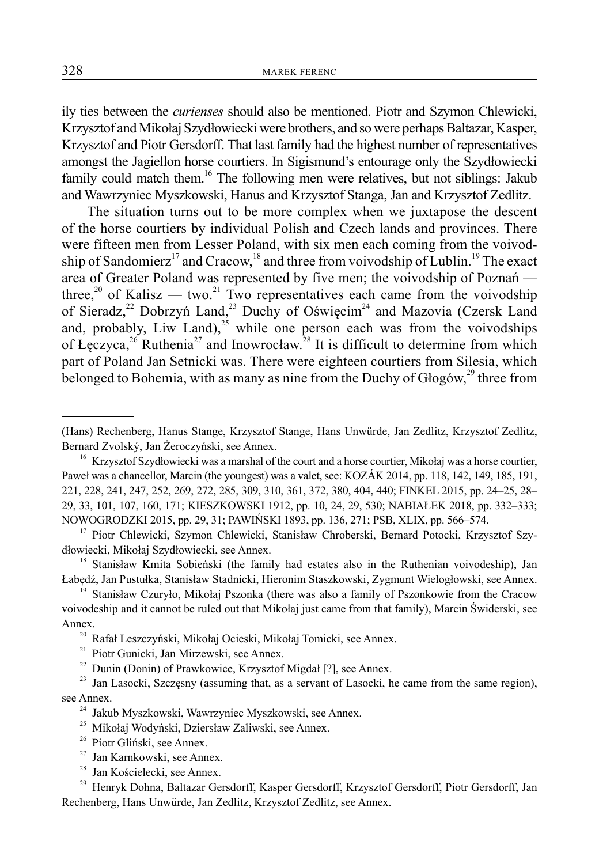ily ties between the *curienses* should also be mentioned. Piotr and Szymon Chlewicki, Krzysztof and Mikołaj Szydłowiecki were brothers, and so were perhaps Baltazar, Kasper, Krzysztof and Piotr Gersdorff. That last family had the highest number of representatives amongst the Jagiellon horse courtiers. In Sigismund's entourage only the Szydłowiecki family could match them.<sup>16</sup> The following men were relatives, but not siblings: Jakub and Wawrzyniec Myszkowski, Hanus and Krzysztof Stanga, Jan and Krzysztof Zedlitz.

The situation turns out to be more complex when we juxtapose the descent of the horse courtiers by individual Polish and Czech lands and provinces. There were fifteen men from Lesser Poland, with six men each coming from the voivodship of Sandomierz<sup>17</sup> and Cracow,<sup>18</sup> and three from voivodship of Lublin.<sup>19</sup> The exact area of Greater Poland was represented by five men; the voivodship of Poznań three,<sup>20</sup> of Kalisz — two.<sup>21</sup> Two representatives each came from the voivodship of Sieradz,<sup>22</sup> Dobrzyń Land,<sup>23</sup> Duchy of Oświęcim<sup>24</sup> and Mazovia (Czersk Land and, probably, Liw Land), $^{25}$  while one person each was from the voivodships of Łęczyca,<sup>26</sup> Ruthenia<sup>27</sup> and Inowrocław.<sup>28</sup> It is difficult to determine from which part of Poland Jan Setnicki was. There were eighteen courtiers from Silesia, which belonged to Bohemia, with as many as nine from the Duchy of  $G \cdot log_2(w^2)$  three from

28 Jan Kościelecki, see Annex.

<sup>(</sup>Hans) Rechenberg, Hanus Stange, Krzysztof Stange, Hans Unwürde, Jan Zedlitz, Krzysztof Zedlitz, Bernard Zvolský, Jan Żeroczyński, see Annex.

<sup>&</sup>lt;sup>16</sup> Krzysztof Szydłowiecki was a marshal of the court and a horse courtier, Mikołaj was a horse courtier, Paweł was a chancellor, Marcin (the youngest) was a valet, see: KOZÁK 2014, pp. 118, 142, 149, 185, 191, 221, 228, 241, 247, 252, 269, 272, 285, 309, 310, 361, 372, 380, 404, 440; FINKEL 2015, pp. 24–25, 28– 29, 33, 101, 107, 160, 171; KIESZKOWSKI 1912, pp. 10, 24, 29, 530; NABIAŁEK 2018, pp. 332–333; NOWOGRODZKI 2015, pp. 29, 31; PAWIŃSKI 1893, pp. 136, 271; PSB, XLIX, pp. 566–574.

<sup>&</sup>lt;sup>17</sup> Piotr Chlewicki, Szymon Chlewicki, Stanisław Chroberski, Bernard Potocki, Krzysztof Szydłowiecki, Mikołaj Szydłowiecki, see Annex.

<sup>&</sup>lt;sup>18</sup> Stanisław Kmita Sobieński (the family had estates also in the Ruthenian voivodeship), Jan Łabędź, Jan Pustułka, Stanisław Stadnicki, Hieronim Staszkowski, Zygmunt Wielogłowski, see Annex.

<sup>&</sup>lt;sup>19</sup> Stanisław Czuryło, Mikołaj Pszonka (there was also a family of Pszonkowie from the Cracow voivodeship and it cannot be ruled out that Mikołaj just came from that family), Marcin Świderski, see Annex.

<sup>20</sup> Rafał Leszczyński, Mikołaj Ocieski, Mikołaj Tomicki, see Annex.

<sup>&</sup>lt;sup>21</sup> Piotr Gunicki, Jan Mirzewski, see Annex.<br><sup>22</sup> Dunin (Donin) of Prawkowice. Krzysztof

Dunin (Donin) of Prawkowice, Krzysztof Migdał [?], see Annex.

<sup>&</sup>lt;sup>23</sup> Jan Lasocki, Szczęsny (assuming that, as a servant of Lasocki, he came from the same region), see Annex.

<sup>&</sup>lt;sup>24</sup> Jakub Myszkowski, Wawrzyniec Myszkowski, see Annex.

<sup>25</sup> Mikołaj Wodyński, Dziersław Zaliwski, see Annex.

<sup>&</sup>lt;sup>26</sup> Piotr Gliński, see Annex.<br><sup>27</sup> Ian Karnkowski, see Ann

Jan Karnkowski, see Annex.

<sup>&</sup>lt;sup>29</sup> Henryk Dohna, Baltazar Gersdorff, Kasper Gersdorff, Krzysztof Gersdorff, Piotr Gersdorff, Jan Rechenberg, Hans Unwürde, Jan Zedlitz, Krzysztof Zedlitz, see Annex.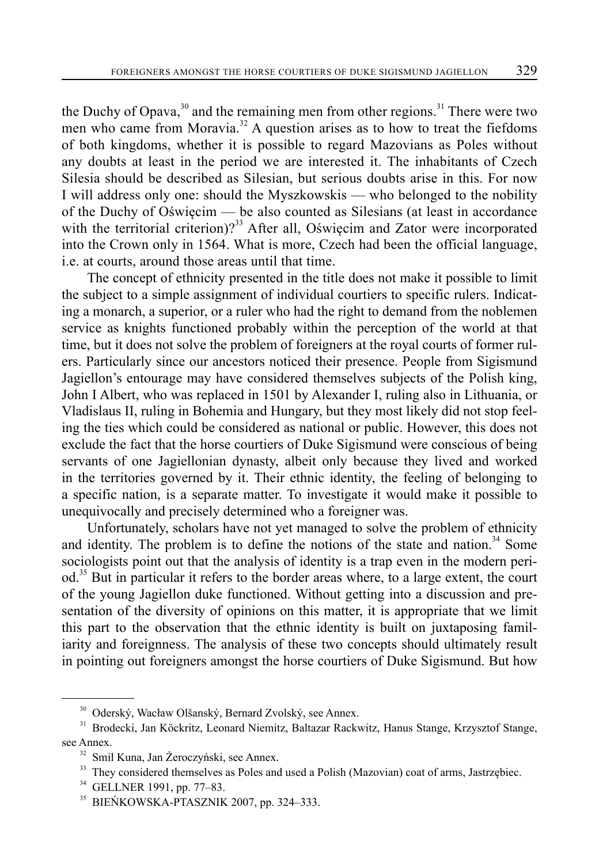the Duchy of Opava,  $30$  and the remaining men from other regions.<sup>31</sup> There were two men who came from Moravia.<sup>32</sup> A question arises as to how to treat the fiefdoms of both kingdoms, whether it is possible to regard Mazovians as Poles without any doubts at least in the period we are interested it. The inhabitants of Czech Silesia should be described as Silesian, but serious doubts arise in this. For now I will address only one: should the Myszkowskis — who belonged to the nobility of the Duchy of Oświęcim — be also counted as Silesians (at least in accordance with the territorial criterion)?<sup>33</sup> After all, Oświęcim and Zator were incorporated into the Crown only in 1564. What is more, Czech had been the official language, i.e. at courts, around those areas until that time.

The concept of ethnicity presented in the title does not make it possible to limit the subject to a simple assignment of individual courtiers to specific rulers. Indicating a monarch, a superior, or a ruler who had the right to demand from the noblemen service as knights functioned probably within the perception of the world at that time, but it does not solve the problem of foreigners at the royal courts of former rulers. Particularly since our ancestors noticed their presence. People from Sigismund Jagiellon's entourage may have considered themselves subjects of the Polish king, John I Albert, who was replaced in 1501 by Alexander I, ruling also in Lithuania, or Vladislaus II, ruling in Bohemia and Hungary, but they most likely did not stop feeling the ties which could be considered as national or public. However, this does not exclude the fact that the horse courtiers of Duke Sigismund were conscious of being servants of one Jagiellonian dynasty, albeit only because they lived and worked in the territories governed by it. Their ethnic identity, the feeling of belonging to a specific nation, is a separate matter. To investigate it would make it possible to unequivocally and precisely determined who a foreigner was.

Unfortunately, scholars have not yet managed to solve the problem of ethnicity and identity. The problem is to define the notions of the state and nation. $34$  Some sociologists point out that the analysis of identity is a trap even in the modern period.<sup>35</sup> But in particular it refers to the border areas where, to a large extent, the court of the young Jagiellon duke functioned. Without getting into a discussion and presentation of the diversity of opinions on this matter, it is appropriate that we limit this part to the observation that the ethnic identity is built on juxtaposing familiarity and foreignness. The analysis of these two concepts should ultimately result in pointing out foreigners amongst the horse courtiers of Duke Sigismund. But how

<sup>30</sup> Oderský, Wacław Olšanský, Bernard Zvolský, see Annex.

<sup>&</sup>lt;sup>31</sup> Brodecki, Jan Köckritz, Leonard Niemitz, Baltazar Rackwitz, Hanus Stange, Krzysztof Stange, see Annex.

<sup>&</sup>lt;sup>32</sup> Smil Kuna, Jan Żeroczyński, see Annex.

<sup>&</sup>lt;sup>33</sup> They considered themselves as Poles and used a Polish (Mazovian) coat of arms, Jastrzębiec.

 $34$  GELLNER 1991, pp. 77–83.<br> $35$  RIFNKOWSK A-PTASZNIK

<sup>35</sup> BIEŃKOWSKA-PTASZNIK 2007, pp. 324–333.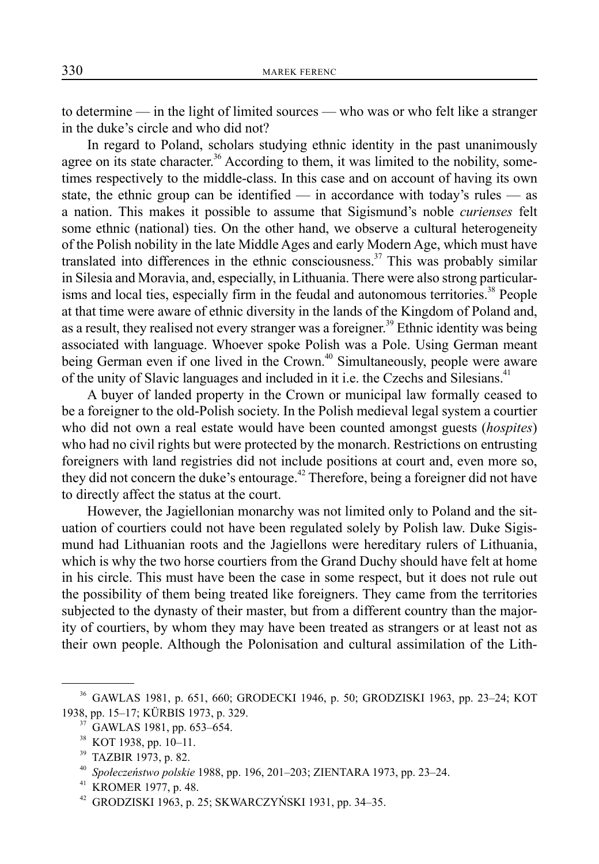to determine — in the light of limited sources — who was or who felt like a stranger in the duke's circle and who did not?

In regard to Poland, scholars studying ethnic identity in the past unanimously agree on its state character.<sup>36</sup> According to them, it was limited to the nobility, sometimes respectively to the middle-class. In this case and on account of having its own state, the ethnic group can be identified — in accordance with today's rules — as a nation. This makes it possible to assume that Sigismund's noble *curienses* felt some ethnic (national) ties. On the other hand, we observe a cultural heterogeneity of the Polish nobility in the late Middle Ages and early Modern Age, which must have translated into differences in the ethnic consciousness.<sup>37</sup> This was probably similar in Silesia and Moravia, and, especially, in Lithuania. There were also strong particularisms and local ties, especially firm in the feudal and autonomous territories.<sup>38</sup> People at that time were aware of ethnic diversity in the lands of the Kingdom of Poland and, as a result, they realised not every stranger was a foreigner.<sup>39</sup> Ethnic identity was being associated with language. Whoever spoke Polish was a Pole. Using German meant being German even if one lived in the Crown.<sup>40</sup> Simultaneously, people were aware of the unity of Slavic languages and included in it i.e. the Czechs and Silesians.<sup>41</sup>

A buyer of landed property in the Crown or municipal law formally ceased to be a foreigner to the old-Polish society. In the Polish medieval legal system a courtier who did not own a real estate would have been counted amongst guests (*hospites*) who had no civil rights but were protected by the monarch. Restrictions on entrusting foreigners with land registries did not include positions at court and, even more so, they did not concern the duke's entourage.<sup> $42$ </sup> Therefore, being a foreigner did not have to directly affect the status at the court.

However, the Jagiellonian monarchy was not limited only to Poland and the situation of courtiers could not have been regulated solely by Polish law. Duke Sigismund had Lithuanian roots and the Jagiellons were hereditary rulers of Lithuania, which is why the two horse courtiers from the Grand Duchy should have felt at home in his circle. This must have been the case in some respect, but it does not rule out the possibility of them being treated like foreigners. They came from the territories subjected to the dynasty of their master, but from a different country than the majority of courtiers, by whom they may have been treated as strangers or at least not as their own people. Although the Polonisation and cultural assimilation of the Lith-

<sup>36</sup> GAWLAS 1981, p. 651, 660; GRODECKI 1946, p. 50; GRODZISKI 1963, pp. 23–24; KOT 1938, pp. 15–17; KÜRBIS 1973, p. 329. 37 GAWLAS 1981, pp. 653–654.

<sup>38</sup> KOT 1938, pp. 10–11.

<sup>39</sup> TAZBIR 1973, p. 82.

<sup>40</sup> *Społeczeństwo polskie* 1988, pp. 196, 201–203; ZIENTARA 1973, pp. 23–24.

<sup>41</sup> KROMER 1977, p. 48.

<sup>42</sup> GRODZISKI 1963, p. 25; SKWARCZYŃSKI 1931, pp. 34–35.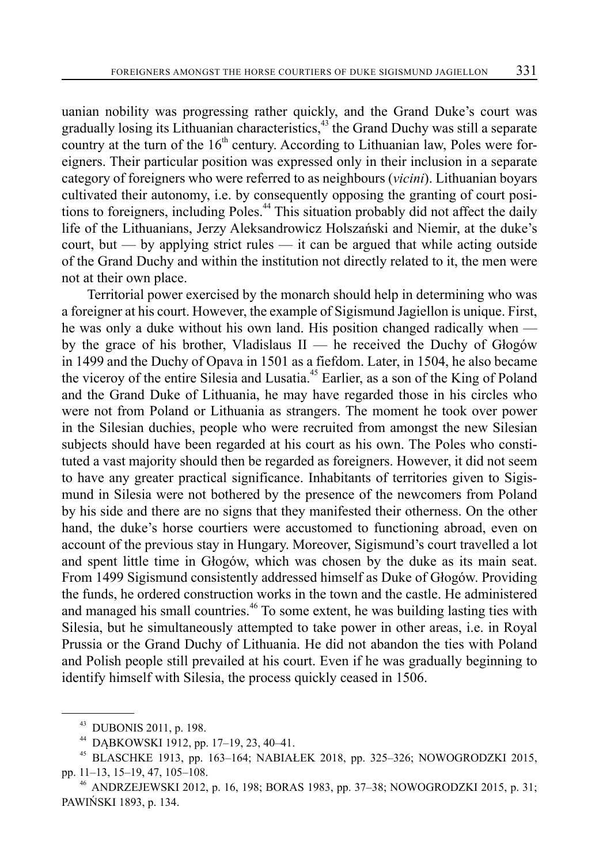uanian nobility was progressing rather quickly, and the Grand Duke's court was gradually losing its Lithuanian characteristics, $43$  the Grand Duchy was still a separate country at the turn of the  $16<sup>th</sup>$  century. According to Lithuanian law, Poles were foreigners. Their particular position was expressed only in their inclusion in a separate category of foreigners who were referred to as neighbours (*vicini*). Lithuanian boyars cultivated their autonomy, i.e. by consequently opposing the granting of court positions to foreigners, including Poles.<sup>44</sup> This situation probably did not affect the daily life of the Lithuanians, Jerzy Aleksandrowicz Holszański and Niemir, at the duke's court, but — by applying strict rules — it can be argued that while acting outside of the Grand Duchy and within the institution not directly related to it, the men were not at their own place.

Territorial power exercised by the monarch should help in determining who was a foreigner at his court. However, the example of Sigismund Jagiellon is unique. First, he was only a duke without his own land. His position changed radically when by the grace of his brother, Vladislaus II — he received the Duchy of Głogów in 1499 and the Duchy of Opava in 1501 as a fiefdom. Later, in 1504, he also became the viceroy of the entire Silesia and Lusatia.<sup>45</sup> Earlier, as a son of the King of Poland and the Grand Duke of Lithuania, he may have regarded those in his circles who were not from Poland or Lithuania as strangers. The moment he took over power in the Silesian duchies, people who were recruited from amongst the new Silesian subjects should have been regarded at his court as his own. The Poles who constituted a vast majority should then be regarded as foreigners. However, it did not seem to have any greater practical significance. Inhabitants of territories given to Sigismund in Silesia were not bothered by the presence of the newcomers from Poland by his side and there are no signs that they manifested their otherness. On the other hand, the duke's horse courtiers were accustomed to functioning abroad, even on account of the previous stay in Hungary. Moreover, Sigismund's court travelled a lot and spent little time in Głogów, which was chosen by the duke as its main seat. From 1499 Sigismund consistently addressed himself as Duke of Głogów. Providing the funds, he ordered construction works in the town and the castle. He administered and managed his small countries.<sup>46</sup> To some extent, he was building lasting ties with Silesia, but he simultaneously attempted to take power in other areas, i.e. in Royal Prussia or the Grand Duchy of Lithuania. He did not abandon the ties with Poland and Polish people still prevailed at his court. Even if he was gradually beginning to identify himself with Silesia, the process quickly ceased in 1506.

<sup>43</sup> DUBONIS 2011, p. 198.

<sup>44</sup> DĄBKOWSKI 1912, pp. 17–19, 23, 40–41.

<sup>45</sup> BLASCHKE 1913, pp. 163–164; NABIAŁEK 2018, pp. 325–326; NOWOGRODZKI 2015, pp. 11–13, 15–19, 47, 105–108.

<sup>46</sup> ANDRZEJEWSKI 2012, p. 16, 198; BORAS 1983, pp. 37–38; NOWOGRODZKI 2015, p. 31; PAWIŃSKI 1893, p. 134.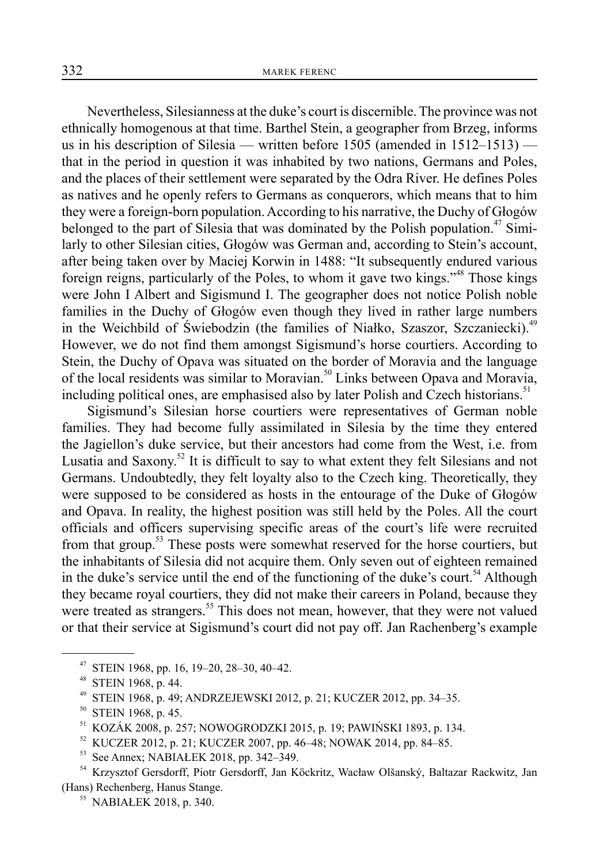Nevertheless, Silesianness at the duke's court is discernible. The province was not ethnically homogenous at that time. Barthel Stein, a geographer from Brzeg, informs us in his description of Silesia — written before 1505 (amended in 1512–1513) that in the period in question it was inhabited by two nations, Germans and Poles, and the places of their settlement were separated by the Odra River. He defines Poles as natives and he openly refers to Germans as conquerors, which means that to him they were a foreign-born population. According to his narrative, the Duchy of Głogów belonged to the part of Silesia that was dominated by the Polish population.<sup>47</sup> Similarly to other Silesian cities, Głogów was German and, according to Stein's account, after being taken over by Maciej Korwin in 1488: "It subsequently endured various foreign reigns, particularly of the Poles, to whom it gave two kings."<sup>48</sup> Those kings were John I Albert and Sigismund I. The geographer does not notice Polish noble families in the Duchy of Głogów even though they lived in rather large numbers in the Weichbild of Świebodzin (the families of Niałko, Szaszor, Szczaniecki).<sup>49</sup> However, we do not find them amongst Sigismund's horse courtiers. According to Stein, the Duchy of Opava was situated on the border of Moravia and the language of the local residents was similar to Moravian.<sup>50</sup> Links between Opava and Moravia, including political ones, are emphasised also by later Polish and Czech historians.<sup>51</sup>

Sigismund's Silesian horse courtiers were representatives of German noble families. They had become fully assimilated in Silesia by the time they entered the Jagiellon's duke service, but their ancestors had come from the West, i.e. from Lusatia and Saxony.<sup>52</sup> It is difficult to say to what extent they felt Silesians and not Germans. Undoubtedly, they felt loyalty also to the Czech king. Theoretically, they were supposed to be considered as hosts in the entourage of the Duke of Głogów and Opava. In reality, the highest position was still held by the Poles. All the court officials and officers supervising specific areas of the court's life were recruited from that group.<sup>53</sup> These posts were somewhat reserved for the horse courtiers, but the inhabitants of Silesia did not acquire them. Only seven out of eighteen remained in the duke's service until the end of the functioning of the duke's court.<sup>54</sup> Although they became royal courtiers, they did not make their careers in Poland, because they were treated as strangers.<sup>55</sup> This does not mean, however, that they were not valued or that their service at Sigismund's court did not pay off. Jan Rachenberg's example

STEIN 1968, pp. 16, 19-20, 28-30, 40-42.

<sup>&</sup>lt;sup>48</sup> STEIN 1968, p. 44.<br><sup>49</sup> STEIN 1968, p. 49.

<sup>49</sup> STEIN 1968, p. 49; ANDRZEJEWSKI 2012, p. 21; KUCZER 2012, pp. 34–35.

<sup>50</sup> STEIN 1968, p. 45.

<sup>51</sup> KOZÁK 2008, p. 257; NOWOGRODZKI 2015, p. 19; PAWIŃSKI 1893, p. 134.

<sup>52</sup> KUCZER 2012, p. 21; KUCZER 2007, pp. 46–48; NOWAK 2014, pp. 84–85.

<sup>53</sup> See Annex; NABIAŁEK 2018, pp. 342–349.

<sup>54</sup> Krzysztof Gersdorff, Piotr Gersdorff, Jan Köckritz, Wacław Olšanský, Baltazar Rackwitz, Jan (Hans) Rechenberg, Hanus Stange. 55 NABIAŁEK 2018, p. 340.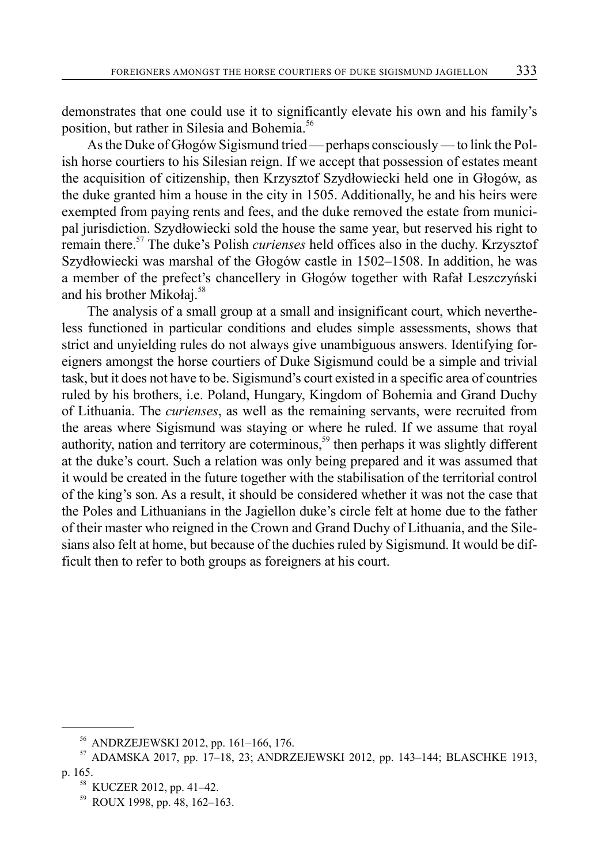demonstrates that one could use it to significantly elevate his own and his family's position, but rather in Silesia and Bohemia.<sup>56</sup>

As the Duke of Głogów Sigismund tried — perhaps consciously — to link the Polish horse courtiers to his Silesian reign. If we accept that possession of estates meant the acquisition of citizenship, then Krzysztof Szydłowiecki held one in Głogów, as the duke granted him a house in the city in 1505. Additionally, he and his heirs were exempted from paying rents and fees, and the duke removed the estate from municipal jurisdiction. Szydłowiecki sold the house the same year, but reserved his right to remain there.57 The duke's Polish *curienses* held offices also in the duchy. Krzysztof Szydłowiecki was marshal of the Głogów castle in 1502–1508. In addition, he was a member of the prefect's chancellery in Głogów together with Rafał Leszczyński and his brother Mikołaj.<sup>58</sup>

The analysis of a small group at a small and insignificant court, which nevertheless functioned in particular conditions and eludes simple assessments, shows that strict and unyielding rules do not always give unambiguous answers. Identifying foreigners amongst the horse courtiers of Duke Sigismund could be a simple and trivial task, but it does not have to be. Sigismund's court existed in a specific area of countries ruled by his brothers, i.e. Poland, Hungary, Kingdom of Bohemia and Grand Duchy of Lithuania. The *curienses*, as well as the remaining servants, were recruited from the areas where Sigismund was staying or where he ruled. If we assume that royal authority, nation and territory are coterminous,<sup>59</sup> then perhaps it was slightly different at the duke's court. Such a relation was only being prepared and it was assumed that it would be created in the future together with the stabilisation of the territorial control of the king's son. As a result, it should be considered whether it was not the case that the Poles and Lithuanians in the Jagiellon duke's circle felt at home due to the father of their master who reigned in the Crown and Grand Duchy of Lithuania, and the Silesians also felt at home, but because of the duchies ruled by Sigismund. It would be difficult then to refer to both groups as foreigners at his court.

<sup>56</sup> ANDRZEJEWSKI 2012, pp. 161–166, 176.

<sup>57</sup> ADAMSKA 2017, pp. 17–18, 23; ANDRZEJEWSKI 2012, pp. 143–144; BLASCHKE 1913, p. 165.

<sup>58</sup> KUCZER 2012, pp. 41–42.

<sup>59</sup> ROUX 1998, pp. 48, 162–163.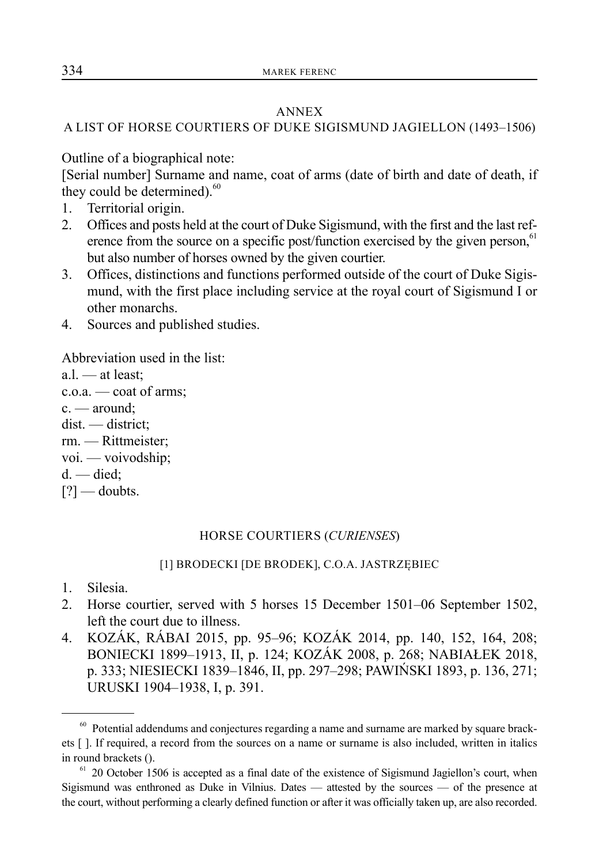#### ANNEX

## A LIST OF HORSE COURTIERS OF DUKE SIGISMUND JAGIELLON (1493–1506)

Outline of a biographical note:

[Serial number] Surname and name, coat of arms (date of birth and date of death, if they could be determined). $60$ 

- 1. Territorial origin.
- 2. Offices and posts held at the court of Duke Sigismund, with the first and the last reference from the source on a specific post/function exercised by the given person, $61$ but also number of horses owned by the given courtier.
- 3. Offices, distinctions and functions performed outside of the court of Duke Sigismund, with the first place including service at the royal court of Sigismund I or other monarchs.
- 4. Sources and published studies.

Abbreviation used in the list:

a.l. — at least; c.o.a. — coat of arms; c. — around; dist. — district; rm. — Rittmeister; voi. — voivodship;  $d.$  — died; [?] — doubts.

#### HORSE COURTIERS (*CURIENSES*)

#### [1] BRODECKI [DE BRODEK], C.O.A. JASTRZĘBIEC

- 1. Silesia.
- 2. Horse courtier, served with 5 horses 15 December 1501–06 September 1502, left the court due to illness.
- 4. KOZÁK, RÁBAI 2015, pp. 95–96; KOZÁK 2014, pp. 140, 152, 164, 208; BONIECKI 1899–1913, II, p. 124; KOZÁK 2008, p. 268; NABIAŁEK 2018, p. 333; NIESIECKI 1839–1846, II, pp. 297–298; PAWIŃSKI 1893, p. 136, 271; URUSKI 1904–1938, I, p. 391.

 $60$  Potential addendums and conjectures regarding a name and surname are marked by square brackets [ ]. If required, a record from the sources on a name or surname is also included, written in italics in round brackets ().

 $61$  20 October 1506 is accepted as a final date of the existence of Sigismund Jagiellon's court, when Sigismund was enthroned as Duke in Vilnius. Dates — attested by the sources — of the presence at the court, without performing a clearly defined function or after it was officially taken up, are also recorded.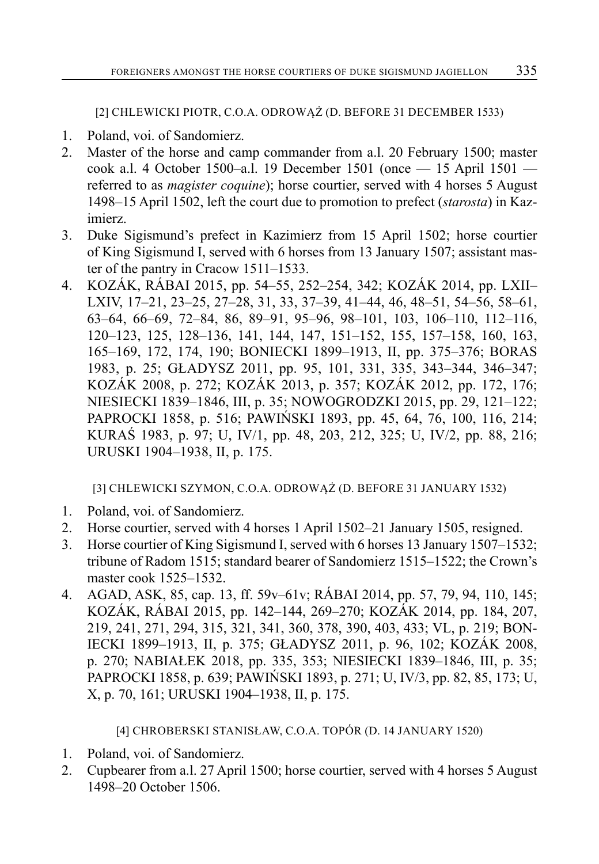[2] CHLEWICKI PIOTR, C.O.A. ODROWĄŻ (D. BEFORE 31 DECEMBER 1533)

- 1. Poland, voi. of Sandomierz.
- 2. Master of the horse and camp commander from a.l. 20 February 1500; master cook a.l. 4 October 1500–a.l. 19 December 1501 (once — 15 April 1501 referred to as *magister coquine*); horse courtier, served with 4 horses 5 August 1498–15 April 1502, left the court due to promotion to prefect (*starosta*) in Kazimierz.
- 3. Duke Sigismund's prefect in Kazimierz from 15 April 1502; horse courtier of King Sigismund I, served with 6 horses from 13 January 1507; assistant master of the pantry in Cracow 1511–1533.
- 4. KOZÁK, RÁBAI 2015, pp. 54–55, 252–254, 342; KOZÁK 2014, pp. LXII– LXIV, 17–21, 23–25, 27–28, 31, 33, 37–39, 41–44, 46, 48–51, 54–56, 58–61, 63–64, 66–69, 72–84, 86, 89–91, 95–96, 98–101, 103, 106–110, 112–116, 120–123, 125, 128–136, 141, 144, 147, 151–152, 155, 157–158, 160, 163, 165–169, 172, 174, 190; BONIECKI 1899–1913, II, pp. 375–376; BORAS 1983, p. 25; GŁADYSZ 2011, pp. 95, 101, 331, 335, 343–344, 346–347; KOZÁK 2008, p. 272; KOZÁK 2013, p. 357; KOZÁK 2012, pp. 172, 176; NIESIECKI 1839–1846, III, p. 35; NOWOGRODZKI 2015, pp. 29, 121–122; PAPROCKI 1858, p. 516; PAWIŃSKI 1893, pp. 45, 64, 76, 100, 116, 214; KURAŚ 1983, p. 97; U, IV/1, pp. 48, 203, 212, 325; U, IV/2, pp. 88, 216; URUSKI 1904–1938, II, p. 175.

[3] CHLEWICKI SZYMON, C.O.A. ODROWĄŻ (D. BEFORE 31 JANUARY 1532)

- 1. Poland, voi. of Sandomierz.
- 2. Horse courtier, served with 4 horses 1 April 1502–21 January 1505, resigned.
- 3. Horse courtier of King Sigismund I, served with 6 horses 13 January 1507–1532; tribune of Radom 1515; standard bearer of Sandomierz 1515–1522; the Crown's master cook 1525–1532.
- 4. AGAD, ASK, 85, cap. 13, ff. 59v–61v; RÁBAI 2014, pp. 57, 79, 94, 110, 145; KOZÁK, RÁBAI 2015, pp. 142–144, 269–270; KOZÁK 2014, pp. 184, 207, 219, 241, 271, 294, 315, 321, 341, 360, 378, 390, 403, 433; VL, p. 219; BON-IECKI 1899–1913, II, p. 375; GŁADYSZ 2011, p. 96, 102; KOZÁK 2008, p. 270; NABIAŁEK 2018, pp. 335, 353; NIESIECKI 1839–1846, III, p. 35; PAPROCKI 1858, p. 639; PAWIŃSKI 1893, p. 271; U, IV/3, pp. 82, 85, 173; U, X, p. 70, 161; URUSKI 1904–1938, II, p. 175.

[4] CHROBERSKI STANISŁAW, C.O.A. TOPÓR (D. 14 JANUARY 1520)

- 1. Poland, voi. of Sandomierz.
- 2. Cupbearer from a.l. 27 April 1500; horse courtier, served with 4 horses 5 August 1498–20 October 1506.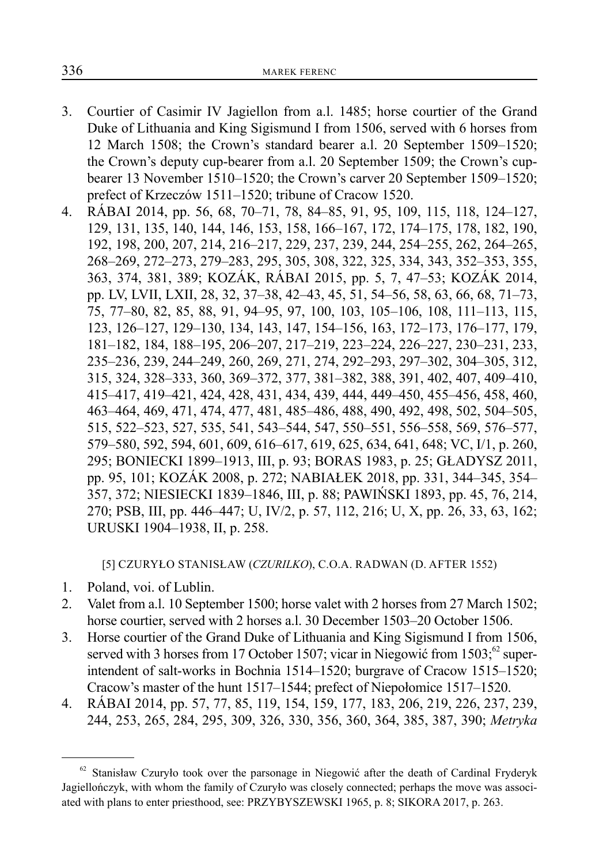- 3. Courtier of Casimir IV Jagiellon from a.l. 1485; horse courtier of the Grand Duke of Lithuania and King Sigismund I from 1506, served with 6 horses from 12 March 1508; the Crown's standard bearer a.l. 20 September 1509–1520; the Crown's deputy cup-bearer from a.l. 20 September 1509; the Crown's cupbearer 13 November 1510–1520; the Crown's carver 20 September 1509–1520; prefect of Krzeczów 1511–1520; tribune of Cracow 1520.
- 4. RÁBAI 2014, pp. 56, 68, 70–71, 78, 84–85, 91, 95, 109, 115, 118, 124–127, 129, 131, 135, 140, 144, 146, 153, 158, 166–167, 172, 174–175, 178, 182, 190, 192, 198, 200, 207, 214, 216–217, 229, 237, 239, 244, 254–255, 262, 264–265, 268–269, 272–273, 279–283, 295, 305, 308, 322, 325, 334, 343, 352–353, 355, 363, 374, 381, 389; KOZÁK, RÁBAI 2015, pp. 5, 7, 47–53; KOZÁK 2014, pp. LV, LVII, LXII, 28, 32, 37–38, 42–43, 45, 51, 54–56, 58, 63, 66, 68, 71–73, 75, 77–80, 82, 85, 88, 91, 94–95, 97, 100, 103, 105–106, 108, 111–113, 115, 123, 126–127, 129–130, 134, 143, 147, 154–156, 163, 172–173, 176–177, 179, 181–182, 184, 188–195, 206–207, 217–219, 223–224, 226–227, 230–231, 233, 235–236, 239, 244–249, 260, 269, 271, 274, 292–293, 297–302, 304–305, 312, 315, 324, 328–333, 360, 369–372, 377, 381–382, 388, 391, 402, 407, 409–410, 415–417, 419–421, 424, 428, 431, 434, 439, 444, 449–450, 455–456, 458, 460, 463–464, 469, 471, 474, 477, 481, 485–486, 488, 490, 492, 498, 502, 504–505, 515, 522–523, 527, 535, 541, 543–544, 547, 550–551, 556–558, 569, 576–577, 579–580, 592, 594, 601, 609, 616–617, 619, 625, 634, 641, 648; VC, I/1, p. 260, 295; BONIECKI 1899–1913, III, p. 93; BORAS 1983, p. 25; GŁADYSZ 2011, pp. 95, 101; KOZÁK 2008, p. 272; NABIAŁEK 2018, pp. 331, 344–345, 354– 357, 372; NIESIECKI 1839–1846, III, p. 88; PAWIŃSKI 1893, pp. 45, 76, 214, 270; PSB, III, pp. 446–447; U, IV/2, p. 57, 112, 216; U, X, pp. 26, 33, 63, 162; URUSKI 1904–1938, II, p. 258.

[5] CZURYŁO STANISŁAW (*CZURILKO*), C.O.A. RADWAN (D. AFTER 1552)

- 1. Poland, voi. of Lublin.
- 2. Valet from a.l. 10 September 1500; horse valet with 2 horses from 27 March 1502; horse courtier, served with 2 horses a.l. 30 December 1503–20 October 1506.
- 3. Horse courtier of the Grand Duke of Lithuania and King Sigismund I from 1506, served with 3 horses from 17 October 1507; vicar in Niegowić from  $1503$ ;  $\Omega$  superintendent of salt-works in Bochnia 1514–1520; burgrave of Cracow 1515–1520; Cracow's master of the hunt 1517–1544; prefect of Niepołomice 1517–1520.
- 4. RÁBAI 2014, pp. 57, 77, 85, 119, 154, 159, 177, 183, 206, 219, 226, 237, 239, 244, 253, 265, 284, 295, 309, 326, 330, 356, 360, 364, 385, 387, 390; *Metryka*

 $62$  Stanisław Czuryło took over the parsonage in Niegowić after the death of Cardinal Fryderyk Jagiellończyk, with whom the family of Czuryło was closely connected; perhaps the move was associated with plans to enter priesthood, see: PRZYBYSZEWSKI 1965, p. 8; SIKORA 2017, p. 263.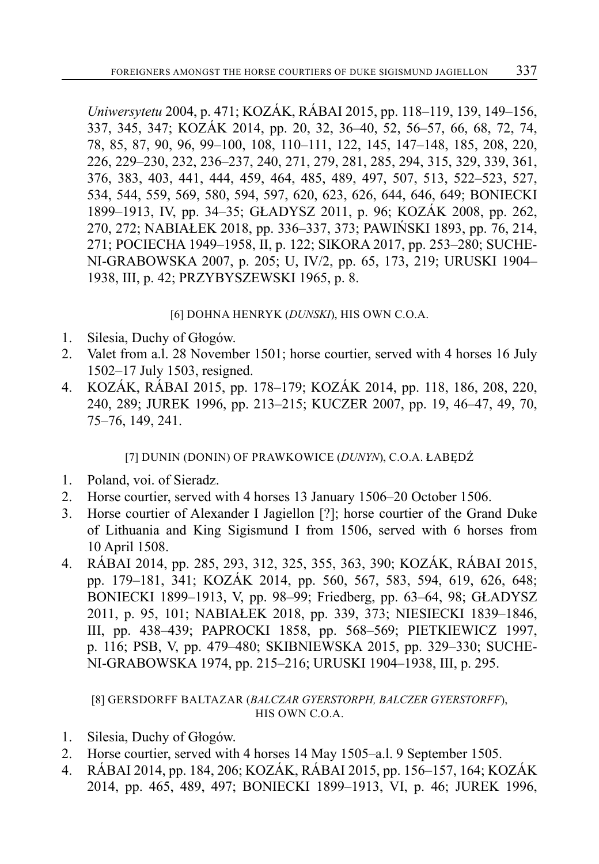*Uniwersytetu* 2004, p. 471; KOZÁK, RÁBAI 2015, pp. 118–119, 139, 149–156, 337, 345, 347; KOZÁK 2014, pp. 20, 32, 36–40, 52, 56–57, 66, 68, 72, 74, 78, 85, 87, 90, 96, 99–100, 108, 110–111, 122, 145, 147–148, 185, 208, 220, 226, 229–230, 232, 236–237, 240, 271, 279, 281, 285, 294, 315, 329, 339, 361, 376, 383, 403, 441, 444, 459, 464, 485, 489, 497, 507, 513, 522–523, 527, 534, 544, 559, 569, 580, 594, 597, 620, 623, 626, 644, 646, 649; BONIECKI 1899–1913, IV, pp. 34–35; GŁADYSZ 2011, p. 96; KOZÁK 2008, pp. 262, 270, 272; NABIAŁEK 2018, pp. 336–337, 373; PAWIŃSKI 1893, pp. 76, 214, 271; POCIECHA 1949–1958, II, p. 122; SIKORA 2017, pp. 253–280; SUCHE-NI-GRABOWSKA 2007, p. 205; U, IV/2, pp. 65, 173, 219; URUSKI 1904– 1938, III, p. 42; PRZYBYSZEWSKI 1965, p. 8.

## [6] DOHNA HENRYK (*DUNSKI*), HIS OWN C.O.A.

- 1. Silesia, Duchy of Głogów.
- 2. Valet from a.l. 28 November 1501; horse courtier, served with 4 horses 16 July 1502–17 July 1503, resigned.
- 4. KOZÁK, RÁBAI 2015, pp. 178–179; KOZÁK 2014, pp. 118, 186, 208, 220, 240, 289; JUREK 1996, pp. 213–215; KUCZER 2007, pp. 19, 46–47, 49, 70, 75–76, 149, 241.

# [7] DUNIN (DONIN) OF PRAWKOWICE (*DUNYN*), C.O.A. ŁABĘDŹ

- 1. Poland, voi. of Sieradz.
- 2. Horse courtier, served with 4 horses 13 January 1506–20 October 1506.
- 3. Horse courtier of Alexander I Jagiellon [?]; horse courtier of the Grand Duke of Lithuania and King Sigismund I from 1506, served with 6 horses from 10 April 1508.
- 4. RÁBAI 2014, pp. 285, 293, 312, 325, 355, 363, 390; KOZÁK, RÁBAI 2015, pp. 179–181, 341; KOZÁK 2014, pp. 560, 567, 583, 594, 619, 626, 648; BONIECKI 1899–1913, V, pp. 98–99; Friedberg, pp. 63–64, 98; GŁADYSZ 2011, p. 95, 101; NABIAŁEK 2018, pp. 339, 373; NIESIECKI 1839–1846, III, pp. 438–439; PAPROCKI 1858, pp. 568–569; PIETKIEWICZ 1997, p. 116; PSB, V, pp. 479–480; SKIBNIEWSKA 2015, pp. 329–330; SUCHE-NI-GRABOWSKA 1974, pp. 215–216; URUSKI 1904–1938, III, p. 295.

#### [8] GERSDORFF BALTAZAR (*BALCZAR GYERSTORPH, BALCZER GYERSTORFF*), HIS OWN C.O.A.

- 1. Silesia, Duchy of Głogów.
- 2. Horse courtier, served with 4 horses 14 May 1505–a.l. 9 September 1505.
- 4. RÁBAI 2014, pp. 184, 206; KOZÁK, RÁBAI 2015, pp. 156–157, 164; KOZÁK 2014, pp. 465, 489, 497; BONIECKI 1899–1913, VI, p. 46; JUREK 1996,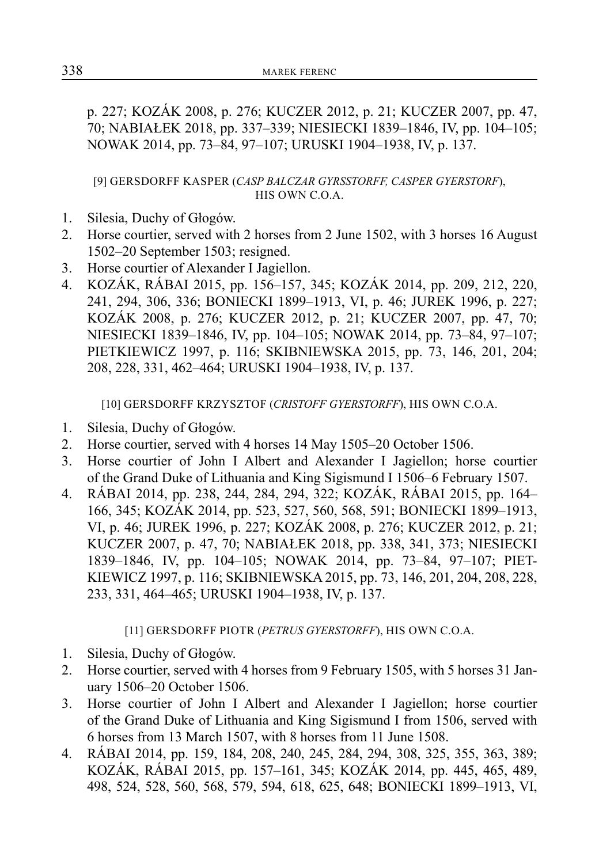p. 227; KOZÁK 2008, p. 276; KUCZER 2012, p. 21; KUCZER 2007, pp. 47, 70; NABIAŁEK 2018, pp. 337–339; NIESIECKI 1839–1846, IV, pp. 104–105; NOWAK 2014, pp. 73–84, 97–107; URUSKI 1904–1938, IV, p. 137.

[9] GERSDORFF KASPER (*CASP BALCZAR GYRSSTORFF, CASPER GYERSTORF*), HIS OWN C.O.A.

- 1. Silesia, Duchy of Głogów.
- 2. Horse courtier, served with 2 horses from 2 June 1502, with 3 horses 16 August 1502–20 September 1503; resigned.
- 3. Horse courtier of Alexander I Jagiellon.
- 4. KOZÁK, RÁBAI 2015, pp. 156–157, 345; KOZÁK 2014, pp. 209, 212, 220, 241, 294, 306, 336; BONIECKI 1899–1913, VI, p. 46; JUREK 1996, p. 227; KOZÁK 2008, p. 276; KUCZER 2012, p. 21; KUCZER 2007, pp. 47, 70; NIESIECKI 1839–1846, IV, pp. 104–105; NOWAK 2014, pp. 73–84, 97–107; PIETKIEWICZ 1997, p. 116; SKIBNIEWSKA 2015, pp. 73, 146, 201, 204; 208, 228, 331, 462–464; URUSKI 1904–1938, IV, p. 137.

[10] GERSDORFF KRZYSZTOF (*CRISTOFF GYERSTORFF*), HIS OWN C.O.A.

- 1. Silesia, Duchy of Głogów.
- 2. Horse courtier, served with 4 horses 14 May 1505–20 October 1506.
- 3. Horse courtier of John I Albert and Alexander I Jagiellon; horse courtier of the Grand Duke of Lithuania and King Sigismund I 1506–6 February 1507.
- 4. RÁBAI 2014, pp. 238, 244, 284, 294, 322; KOZÁK, RÁBAI 2015, pp. 164– 166, 345; KOZÁK 2014, pp. 523, 527, 560, 568, 591; BONIECKI 1899–1913, VI, p. 46; JUREK 1996, p. 227; KOZÁK 2008, p. 276; KUCZER 2012, p. 21; KUCZER 2007, p. 47, 70; NABIAŁEK 2018, pp. 338, 341, 373; NIESIECKI 1839–1846, IV, pp. 104–105; NOWAK 2014, pp. 73–84, 97–107; PIET-KIEWICZ 1997, p. 116; SKIBNIEWSKA 2015, pp. 73, 146, 201, 204, 208, 228, 233, 331, 464–465; URUSKI 1904–1938, IV, p. 137.

[11] GERSDORFF PIOTR (*PETRUS GYERSTORFF*), HIS OWN C.O.A.

- 1. Silesia, Duchy of Głogów.
- 2. Horse courtier, served with 4 horses from 9 February 1505, with 5 horses 31 January 1506–20 October 1506.
- 3. Horse courtier of John I Albert and Alexander I Jagiellon; horse courtier of the Grand Duke of Lithuania and King Sigismund I from 1506, served with 6 horses from 13 March 1507, with 8 horses from 11 June 1508.
- 4. RÁBAI 2014, pp. 159, 184, 208, 240, 245, 284, 294, 308, 325, 355, 363, 389; KOZÁK, RÁBAI 2015, pp. 157–161, 345; KOZÁK 2014, pp. 445, 465, 489, 498, 524, 528, 560, 568, 579, 594, 618, 625, 648; BONIECKI 1899–1913, VI,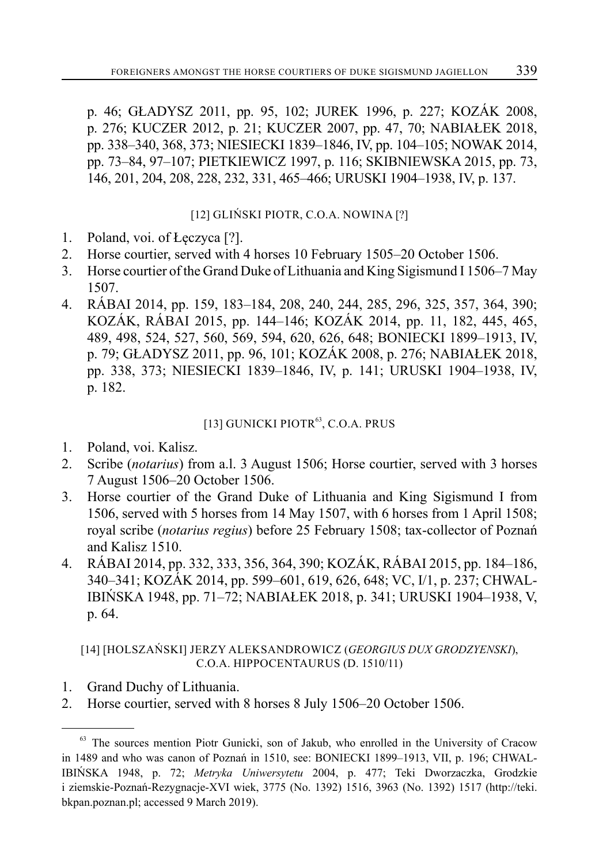p. 46; GŁADYSZ 2011, pp. 95, 102; JUREK 1996, p. 227; KOZÁK 2008, p. 276; KUCZER 2012, p. 21; KUCZER 2007, pp. 47, 70; NABIAŁEK 2018, pp. 338–340, 368, 373; NIESIECKI 1839–1846, IV, pp. 104–105; NOWAK 2014, pp. 73–84, 97–107; PIETKIEWICZ 1997, p. 116; SKIBNIEWSKA 2015, pp. 73, 146, 201, 204, 208, 228, 232, 331, 465–466; URUSKI 1904–1938, IV, p. 137.

# [12] GLIŃSKI PIOTR, C.O.A. NOWINA [?]

- 1. Poland, voi. of Łęczyca [?].
- 2. Horse courtier, served with 4 horses 10 February 1505–20 October 1506.
- 3. Horse courtier of the Grand Duke of Lithuania and King Sigismund I 1506–7 May 1507.
- 4. RÁBAI 2014, pp. 159, 183–184, 208, 240, 244, 285, 296, 325, 357, 364, 390; KOZÁK, RÁBAI 2015, pp. 144–146; KOZÁK 2014, pp. 11, 182, 445, 465, 489, 498, 524, 527, 560, 569, 594, 620, 626, 648; BONIECKI 1899–1913, IV, p. 79; GŁADYSZ 2011, pp. 96, 101; KOZÁK 2008, p. 276; NABIAŁEK 2018, pp. 338, 373; NIESIECKI 1839–1846, IV, p. 141; URUSKI 1904–1938, IV, p. 182.

# [13] GUNICKI PIOTR<sup>63</sup>, C.O.A. PRUS

- 1. Poland, voi. Kalisz.
- 2. Scribe (*notarius*) from a.l. 3 August 1506; Horse courtier, served with 3 horses 7 August 1506–20 October 1506.
- 3. Horse courtier of the Grand Duke of Lithuania and King Sigismund I from 1506, served with 5 horses from 14 May 1507, with 6 horses from 1 April 1508; royal scribe (*notarius regius*) before 25 February 1508; tax-collector of Poznań and Kalisz 1510.
- 4. RÁBAI 2014, pp. 332, 333, 356, 364, 390; KOZÁK, RÁBAI 2015, pp. 184–186, 340–341; KOZÁK 2014, pp. 599–601, 619, 626, 648; VC, I/1, p. 237; CHWAL-IBIŃSKA 1948, pp. 71–72; NABIAŁEK 2018, p. 341; URUSKI 1904–1938, V, p. 64.

## [14] [HOLSZAŃSKI] JERZY ALEKSANDROWICZ (*GEORGIUS DUX GRODZYENSKI*), C.O.A. HIPPOCENTAURUS (D. 1510/11)

- 1. Grand Duchy of Lithuania.
- 2. Horse courtier, served with 8 horses 8 July 1506–20 October 1506.

<sup>&</sup>lt;sup>63</sup> The sources mention Piotr Gunicki, son of Jakub, who enrolled in the University of Cracow in 1489 and who was canon of Poznań in 1510, see: BONIECKI 1899–1913, VII, p. 196; CHWAL-IBIŃSKA 1948, p. 72; *Metryka Uniwersytetu* 2004, p. 477; Teki Dworzaczka, Grodzkie i ziemskie-Poznań-Rezygnacje-XVI wiek, 3775 (No. 1392) 1516, 3963 (No. 1392) 1517 (http://teki. bkpan.poznan.pl; accessed 9 March 2019).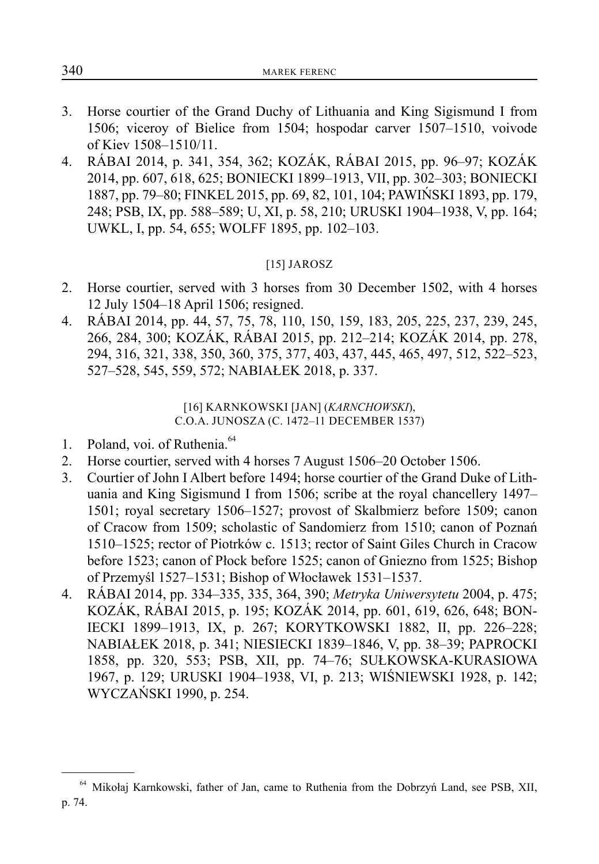- 3. Horse courtier of the Grand Duchy of Lithuania and King Sigismund I from 1506; viceroy of Bielice from 1504; hospodar carver 1507–1510, voivode of Kiev 1508–1510/11.
- 4. RÁBAI 2014, p. 341, 354, 362; KOZÁK, RÁBAI 2015, pp. 96–97; KOZÁK 2014, pp. 607, 618, 625; BONIECKI 1899–1913, VII, pp. 302–303; BONIECKI 1887, pp. 79–80; FINKEL 2015, pp. 69, 82, 101, 104; PAWIŃSKI 1893, pp. 179, 248; PSB, IX, pp. 588–589; U, XI, p. 58, 210; URUSKI 1904–1938, V, pp. 164; UWKL, I, pp. 54, 655; WOLFF 1895, pp. 102–103.

# [15] JAROSZ

- 2. Horse courtier, served with 3 horses from 30 December 1502, with 4 horses 12 July 1504–18 April 1506; resigned.
- 4. RÁBAI 2014, pp. 44, 57, 75, 78, 110, 150, 159, 183, 205, 225, 237, 239, 245, 266, 284, 300; KOZÁK, RÁBAI 2015, pp. 212–214; KOZÁK 2014, pp. 278, 294, 316, 321, 338, 350, 360, 375, 377, 403, 437, 445, 465, 497, 512, 522–523, 527–528, 545, 559, 572; NABIAŁEK 2018, p. 337.

[16] KARNKOWSKI [JAN] (*KARNCHOWSKI*), C.O.A. JUNOSZA (C. 1472–11 DECEMBER 1537)

- 1. Poland, voi. of Ruthenia.<sup>64</sup>
- 2. Horse courtier, served with 4 horses 7 August 1506–20 October 1506.
- 3. Courtier of John I Albert before 1494; horse courtier of the Grand Duke of Lithuania and King Sigismund I from 1506; scribe at the royal chancellery 1497– 1501; royal secretary 1506–1527; provost of Skalbmierz before 1509; canon of Cracow from 1509; scholastic of Sandomierz from 1510; canon of Poznań 1510–1525; rector of Piotrków c. 1513; rector of Saint Giles Church in Cracow before 1523; canon of Płock before 1525; canon of Gniezno from 1525; Bishop of Przemyśl 1527–1531; Bishop of Włocławek 1531–1537.
- 4. RÁBAI 2014, pp. 334–335, 335, 364, 390; *Metryka Uniwersytetu* 2004, p. 475; KOZÁK, RÁBAI 2015, p. 195; KOZÁK 2014, pp. 601, 619, 626, 648; BON-IECKI 1899–1913, IX, p. 267; KORYTKOWSKI 1882, II, pp. 226–228; NABIAŁEK 2018, p. 341; NIESIECKI 1839–1846, V, pp. 38–39; PAPROCKI 1858, pp. 320, 553; PSB, XII, pp. 74–76; SUŁKOWSKA-KURASIOWA 1967, p. 129; URUSKI 1904–1938, VI, p. 213; WIŚNIEWSKI 1928, p. 142; WYCZAŃSKI 1990, p. 254.

<sup>64</sup> Mikołaj Karnkowski, father of Jan, came to Ruthenia from the Dobrzyń Land, see PSB, XII, p. 74.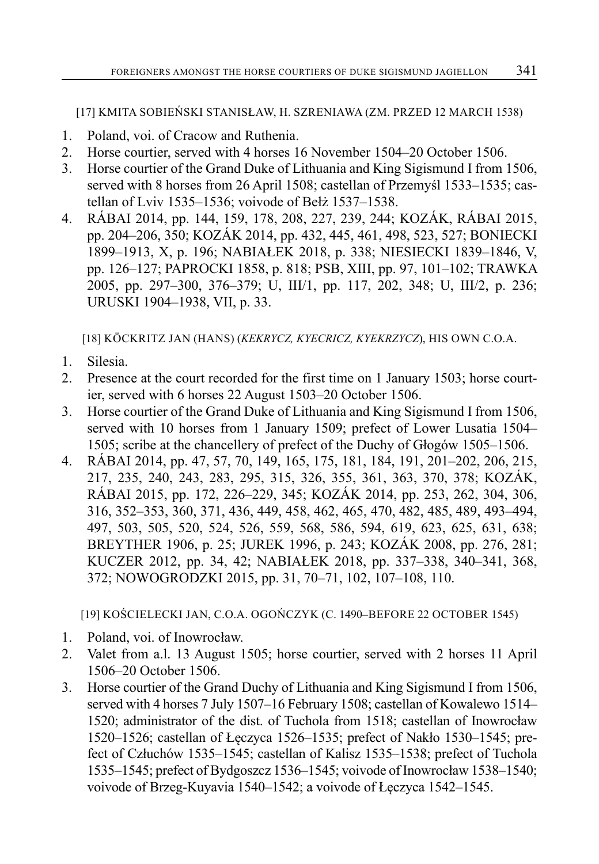[17] KMITA SOBIEŃSKI STANISŁAW, H. SZRENIAWA (ZM. PRZED 12 MARCH 1538)

- 1. Poland, voi. of Cracow and Ruthenia.
- 2. Horse courtier, served with 4 horses 16 November 1504–20 October 1506.
- 3. Horse courtier of the Grand Duke of Lithuania and King Sigismund I from 1506, served with 8 horses from 26 April 1508; castellan of Przemyśl 1533–1535; castellan of Lviv 1535–1536; voivode of Bełż 1537–1538.
- 4. RÁBAI 2014, pp. 144, 159, 178, 208, 227, 239, 244; KOZÁK, RÁBAI 2015, pp. 204–206, 350; KOZÁK 2014, pp. 432, 445, 461, 498, 523, 527; BONIECKI 1899–1913, X, p. 196; NABIAŁEK 2018, p. 338; NIESIECKI 1839–1846, V, pp. 126–127; PAPROCKI 1858, p. 818; PSB, XIII, pp. 97, 101–102; TRAWKA 2005, pp. 297–300, 376–379; U, III/1, pp. 117, 202, 348; U, III/2, p. 236; URUSKI 1904–1938, VII, p. 33.

[18] KÖCKRITZ JAN (HANS) (*KEKRYCZ, KYECRICZ, KYEKRZYCZ*), HIS OWN C.O.A.

- 1. Silesia.
- 2. Presence at the court recorded for the first time on 1 January 1503; horse courtier, served with 6 horses 22 August 1503–20 October 1506.
- 3. Horse courtier of the Grand Duke of Lithuania and King Sigismund I from 1506, served with 10 horses from 1 January 1509; prefect of Lower Lusatia 1504– 1505; scribe at the chancellery of prefect of the Duchy of Głogów 1505–1506.
- 4. RÁBAI 2014, pp. 47, 57, 70, 149, 165, 175, 181, 184, 191, 201–202, 206, 215, 217, 235, 240, 243, 283, 295, 315, 326, 355, 361, 363, 370, 378; KOZÁK, RÁBAI 2015, pp. 172, 226–229, 345; KOZÁK 2014, pp. 253, 262, 304, 306, 316, 352–353, 360, 371, 436, 449, 458, 462, 465, 470, 482, 485, 489, 493–494, 497, 503, 505, 520, 524, 526, 559, 568, 586, 594, 619, 623, 625, 631, 638; BREYTHER 1906, p. 25; JUREK 1996, p. 243; KOZÁK 2008, pp. 276, 281; KUCZER 2012, pp. 34, 42; NABIAŁEK 2018, pp. 337–338, 340–341, 368, 372; NOWOGRODZKI 2015, pp. 31, 70–71, 102, 107–108, 110.

[19] KOŚCIELECKI JAN, C.O.A. OGOŃCZYK (C. 1490–BEFORE 22 OCTOBER 1545)

- 1. Poland, voi. of Inowrocław.
- 2. Valet from a.l. 13 August 1505; horse courtier, served with 2 horses 11 April 1506–20 October 1506.
- 3. Horse courtier of the Grand Duchy of Lithuania and King Sigismund I from 1506, served with 4 horses 7 July 1507–16 February 1508; castellan of Kowalewo 1514– 1520; administrator of the dist. of Tuchola from 1518; castellan of Inowrocław 1520–1526; castellan of Łęczyca 1526–1535; prefect of Nakło 1530–1545; prefect of Człuchów 1535–1545; castellan of Kalisz 1535–1538; prefect of Tuchola 1535–1545; prefect of Bydgoszcz 1536–1545; voivode of Inowrocław 1538–1540; voivode of Brzeg-Kuyavia 1540–1542; a voivode of Łęczyca 1542–1545.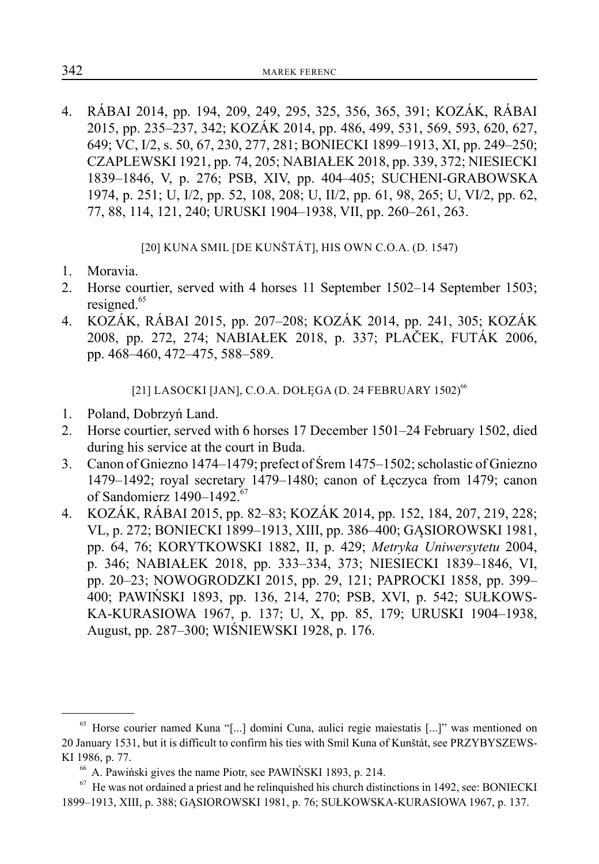4. RÁBAI 2014, pp. 194, 209, 249, 295, 325, 356, 365, 391; KOZÁK, RÁBAI 2015, pp. 235–237, 342; KOZÁK 2014, pp. 486, 499, 531, 569, 593, 620, 627, 649; VC, I/2, s. 50, 67, 230, 277, 281; BONIECKI 1899–1913, XI, pp. 249–250; CZAPLEWSKI 1921, pp. 74, 205; NABIAŁEK 2018, pp. 339, 372; NIESIECKI 1839–1846, V, p. 276; PSB, XIV, pp. 404–405; SUCHENI-GRABOWSKA 1974, p. 251; U, I/2, pp. 52, 108, 208; U, II/2, pp. 61, 98, 265; U, VI/2, pp. 62, 77, 88, 114, 121, 240; URUSKI 1904–1938, VII, pp. 260–261, 263.

[20] KUNA SMIL [DE KUNŠTÁT], HIS OWN C.O.A. (D. 1547)

- 1. Moravia.
- 2. Horse courtier, served with 4 horses 11 September 1502–14 September 1503; resigned.<sup>65</sup>
- 4. KOZÁK, RÁBAI 2015, pp. 207–208; KOZÁK 2014, pp. 241, 305; KOZÁK 2008, pp. 272, 274; NABIAŁEK 2018, p. 337; PLAČEK, FUTÁK 2006, pp. 468–460, 472–475, 588–589.

[21] LASOCKI [JAN], C.O.A. DOŁĘGA (D. 24 FEBRUARY 1502)<sup>66</sup>

- 1. Poland, Dobrzyń Land.
- 2. Horse courtier, served with 6 horses 17 December 1501–24 February 1502, died during his service at the court in Buda.
- 3. Canon of Gniezno 1474–1479; prefect of Śrem 1475–1502; scholastic of Gniezno 1479–1492; royal secretary 1479–1480; canon of Łęczyca from 1479; canon of Sandomierz  $1490 - 1492$ .<sup>67</sup>
- 4. KOZÁK, RÁBAI 2015, pp. 82–83; KOZÁK 2014, pp. 152, 184, 207, 219, 228; VL, p. 272; BONIECKI 1899–1913, XIII, pp. 386–400; GĄSIOROWSKI 1981, pp. 64, 76; KORYTKOWSKI 1882, II, p. 429; *Metryka Uniwersytetu* 2004, p. 346; NABIAŁEK 2018, pp. 333–334, 373; NIESIECKI 1839–1846, VI, pp. 20–23; NOWOGRODZKI 2015, pp. 29, 121; PAPROCKI 1858, pp. 399– 400; PAWIŃSKI 1893, pp. 136, 214, 270; PSB, XVI, p. 542; SUŁKOWS-KA-KURASIOWA 1967, p. 137; U, X, pp. 85, 179; URUSKI 1904–1938, August, pp. 287–300; WIŚNIEWSKI 1928, p. 176.

<sup>&</sup>lt;sup>65</sup> Horse courier named Kuna "[...] domini Cuna, aulici regie maiestatis [...]" was mentioned on 20 January 1531, but it is difficult to confirm his ties with Smil Kuna of Kunštát, see PRZYBYSZEWS-KI 1986, p. 77.

<sup>66</sup> A. Pawiński gives the name Piotr, see PAWIŃSKI 1893, p. 214.

 $^{67}$  He was not ordained a priest and he relinquished his church distinctions in 1492, see: BONIECKI 1899–1913, XIII, p. 388; GĄSIOROWSKI 1981, p. 76; SUŁKOWSKA-KURASIOWA 1967, p. 137.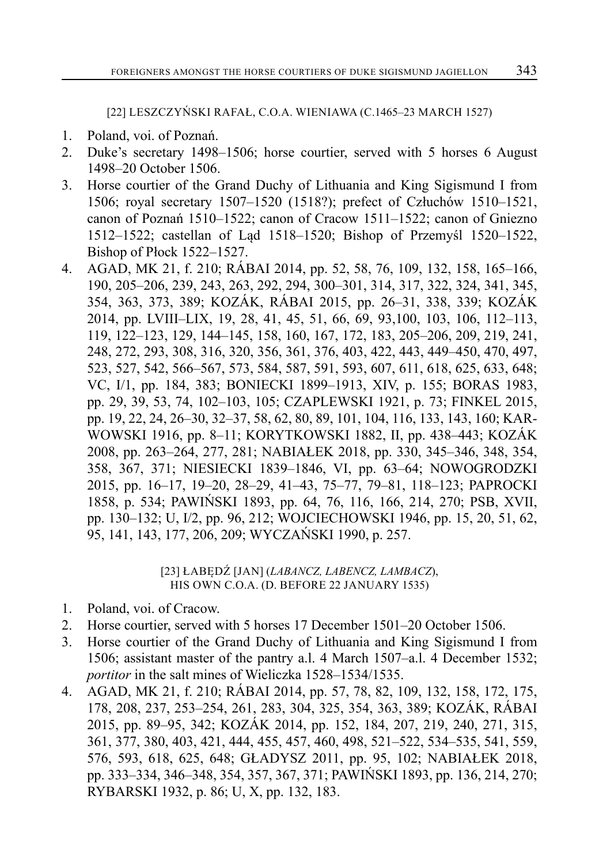[22] LESZCZYŃSKI RAFAŁ, C.O.A. WIENIAWA (C.1465–23 MARCH 1527)

- 1. Poland, voi. of Poznań.
- 2. Duke's secretary 1498–1506; horse courtier, served with 5 horses 6 August 1498–20 October 1506.
- 3. Horse courtier of the Grand Duchy of Lithuania and King Sigismund I from 1506; royal secretary 1507–1520 (1518?); prefect of Człuchów 1510–1521, canon of Poznań 1510–1522; canon of Cracow 1511–1522; canon of Gniezno 1512–1522; castellan of Ląd 1518–1520; Bishop of Przemyśl 1520–1522, Bishop of Płock 1522–1527.
- 4. AGAD, MK 21, f. 210; RÁBAI 2014, pp. 52, 58, 76, 109, 132, 158, 165–166, 190, 205–206, 239, 243, 263, 292, 294, 300–301, 314, 317, 322, 324, 341, 345, 354, 363, 373, 389; KOZÁK, RÁBAI 2015, pp. 26–31, 338, 339; KOZÁK 2014, pp. LVIII–LIX, 19, 28, 41, 45, 51, 66, 69, 93,100, 103, 106, 112–113, 119, 122–123, 129, 144–145, 158, 160, 167, 172, 183, 205–206, 209, 219, 241, 248, 272, 293, 308, 316, 320, 356, 361, 376, 403, 422, 443, 449–450, 470, 497, 523, 527, 542, 566–567, 573, 584, 587, 591, 593, 607, 611, 618, 625, 633, 648; VC, I/1, pp. 184, 383; BONIECKI 1899–1913, XIV, p. 155; BORAS 1983, pp. 29, 39, 53, 74, 102–103, 105; CZAPLEWSKI 1921, p. 73; FINKEL 2015, pp. 19, 22, 24, 26–30, 32–37, 58, 62, 80, 89, 101, 104, 116, 133, 143, 160; KAR-WOWSKI 1916, pp. 8–11; KORYTKOWSKI 1882, II, pp. 438–443; KOZÁK 2008, pp. 263–264, 277, 281; NABIAŁEK 2018, pp. 330, 345–346, 348, 354, 358, 367, 371; NIESIECKI 1839–1846, VI, pp. 63–64; NOWOGRODZKI 2015, pp. 16–17, 19–20, 28–29, 41–43, 75–77, 79–81, 118–123; PAPROCKI 1858, p. 534; PAWIŃSKI 1893, pp. 64, 76, 116, 166, 214, 270; PSB, XVII, pp. 130–132; U, I/2, pp. 96, 212; WOJCIECHOWSKI 1946, pp. 15, 20, 51, 62, 95, 141, 143, 177, 206, 209; WYCZAŃSKI 1990, p. 257.

[23] ŁABĘDŹ [JAN] (*LABANCZ, LABENCZ, LAMBACZ*), HIS OWN C.O.A. (D. BEFORE 22 JANUARY 1535)

- 1. Poland, voi. of Cracow.
- 2. Horse courtier, served with 5 horses 17 December 1501–20 October 1506.
- 3. Horse courtier of the Grand Duchy of Lithuania and King Sigismund I from 1506; assistant master of the pantry a.l. 4 March 1507–a.l. 4 December 1532; *portitor* in the salt mines of Wieliczka 1528–1534/1535.
- 4. AGAD, MK 21, f. 210; RÁBAI 2014, pp. 57, 78, 82, 109, 132, 158, 172, 175, 178, 208, 237, 253–254, 261, 283, 304, 325, 354, 363, 389; KOZÁK, RÁBAI 2015, pp. 89–95, 342; KOZÁK 2014, pp. 152, 184, 207, 219, 240, 271, 315, 361, 377, 380, 403, 421, 444, 455, 457, 460, 498, 521–522, 534–535, 541, 559, 576, 593, 618, 625, 648; GŁADYSZ 2011, pp. 95, 102; NABIAŁEK 2018, pp. 333–334, 346–348, 354, 357, 367, 371; PAWIŃSKI 1893, pp. 136, 214, 270; RYBARSKI 1932, p. 86; U, X, pp. 132, 183.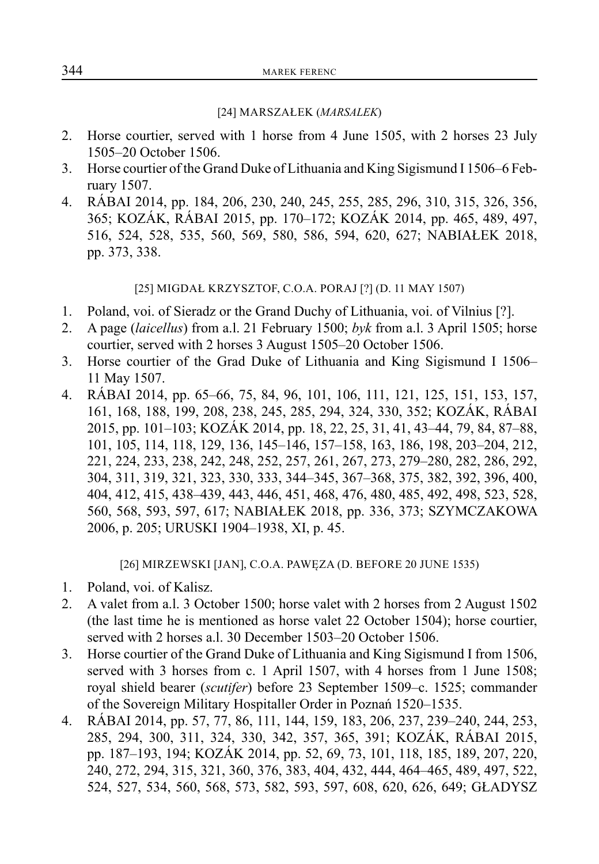#### [24] MARSZAŁEK (*MARSALEK*)

- 2. Horse courtier, served with 1 horse from 4 June 1505, with 2 horses 23 July 1505–20 October 1506.
- 3. Horse courtier of the Grand Duke of Lithuania and King Sigismund I 1506–6 February 1507.
- 4. RÁBAI 2014, pp. 184, 206, 230, 240, 245, 255, 285, 296, 310, 315, 326, 356, 365; KOZÁK, RÁBAI 2015, pp. 170–172; KOZÁK 2014, pp. 465, 489, 497, 516, 524, 528, 535, 560, 569, 580, 586, 594, 620, 627; NABIAŁEK 2018, pp. 373, 338.

[25] MIGDAŁ KRZYSZTOF, C.O.A. PORAJ [?] (D. 11 MAY 1507)

- 1. Poland, voi. of Sieradz or the Grand Duchy of Lithuania, voi. of Vilnius [?].
- 2. A page (*laicellus*) from a.l. 21 February 1500; *byk* from a.l. 3 April 1505; horse courtier, served with 2 horses 3 August 1505–20 October 1506.
- 3. Horse courtier of the Grad Duke of Lithuania and King Sigismund I 1506– 11 May 1507.
- 4. RÁBAI 2014, pp. 65–66, 75, 84, 96, 101, 106, 111, 121, 125, 151, 153, 157, 161, 168, 188, 199, 208, 238, 245, 285, 294, 324, 330, 352; KOZÁK, RÁBAI 2015, pp. 101–103; KOZÁK 2014, pp. 18, 22, 25, 31, 41, 43–44, 79, 84, 87–88, 101, 105, 114, 118, 129, 136, 145–146, 157–158, 163, 186, 198, 203–204, 212, 221, 224, 233, 238, 242, 248, 252, 257, 261, 267, 273, 279–280, 282, 286, 292, 304, 311, 319, 321, 323, 330, 333, 344–345, 367–368, 375, 382, 392, 396, 400, 404, 412, 415, 438–439, 443, 446, 451, 468, 476, 480, 485, 492, 498, 523, 528, 560, 568, 593, 597, 617; NABIAŁEK 2018, pp. 336, 373; SZYMCZAKOWA 2006, p. 205; URUSKI 1904–1938, XI, p. 45.

[26] MIRZEWSKI [JAN], C.O.A. PAWĘZA (D. BEFORE 20 JUNE 1535)

- 1. Poland, voi. of Kalisz.
- 2. A valet from a.l. 3 October 1500; horse valet with 2 horses from 2 August 1502 (the last time he is mentioned as horse valet 22 October 1504); horse courtier, served with 2 horses a.l. 30 December 1503–20 October 1506.
- 3. Horse courtier of the Grand Duke of Lithuania and King Sigismund I from 1506, served with 3 horses from c. 1 April 1507, with 4 horses from 1 June 1508; royal shield bearer (*scutifer*) before 23 September 1509–c. 1525; commander of the Sovereign Military Hospitaller Order in Poznań 1520–1535.
- 4. RÁBAI 2014, pp. 57, 77, 86, 111, 144, 159, 183, 206, 237, 239–240, 244, 253, 285, 294, 300, 311, 324, 330, 342, 357, 365, 391; KOZÁK, RÁBAI 2015, pp. 187–193, 194; KOZÁK 2014, pp. 52, 69, 73, 101, 118, 185, 189, 207, 220, 240, 272, 294, 315, 321, 360, 376, 383, 404, 432, 444, 464–465, 489, 497, 522, 524, 527, 534, 560, 568, 573, 582, 593, 597, 608, 620, 626, 649; GŁADYSZ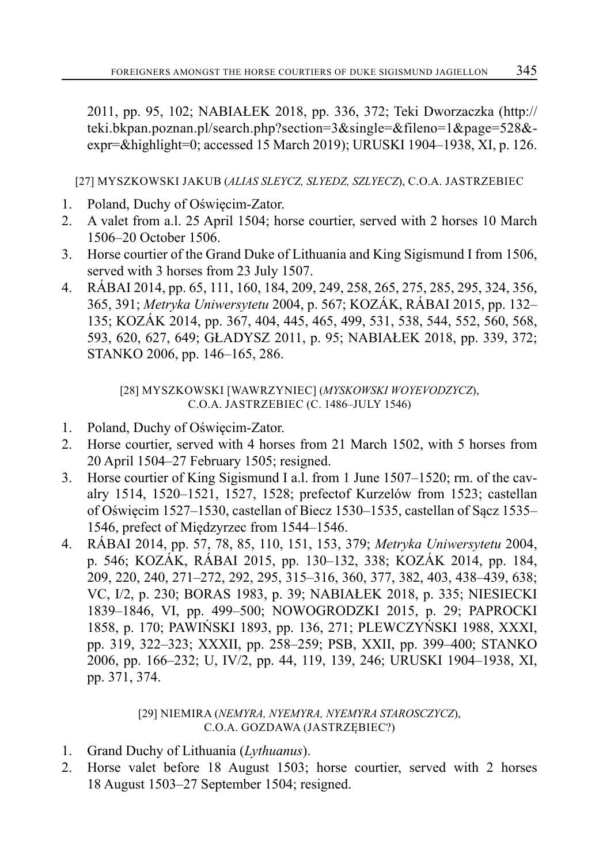2011, pp. 95, 102; NABIAŁEK 2018, pp. 336, 372; Teki Dworzaczka (http:// teki.bkpan.poznan.pl/search.php?section=3&single=&fileno=1&page=528& expr=&highlight=0; accessed 15 March 2019); URUSKI 1904–1938, XI, p. 126.

[27] MYSZKOWSKI JAKUB (*ALIAS SLEYCZ, SLYEDZ, SZLYECZ*), C.O.A. JASTRZEBIEC

- 1. Poland, Duchy of Oświęcim-Zator.
- 2. A valet from a.l. 25 April 1504; horse courtier, served with 2 horses 10 March 1506–20 October 1506.
- 3. Horse courtier of the Grand Duke of Lithuania and King Sigismund I from 1506, served with 3 horses from 23 July 1507.
- 4. RÁBAI 2014, pp. 65, 111, 160, 184, 209, 249, 258, 265, 275, 285, 295, 324, 356, 365, 391; *Metryka Uniwersytetu* 2004, p. 567; KOZÁK, RÁBAI 2015, pp. 132– 135; KOZÁK 2014, pp. 367, 404, 445, 465, 499, 531, 538, 544, 552, 560, 568, 593, 620, 627, 649; GŁADYSZ 2011, p. 95; NABIAŁEK 2018, pp. 339, 372; STANKO 2006, pp. 146–165, 286.

[28] MYSZKOWSKI [WAWRZYNIEC] (*MYSKOWSKI WOYEVODZYCZ*), C.O.A. JASTRZEBIEC (C. 1486–JULY 1546)

- 1. Poland, Duchy of Oświęcim-Zator.
- 2. Horse courtier, served with 4 horses from 21 March 1502, with 5 horses from 20 April 1504–27 February 1505; resigned.
- 3. Horse courtier of King Sigismund I a.l. from 1 June 1507–1520; rm. of the cavalry 1514, 1520–1521, 1527, 1528; prefectof Kurzelów from 1523; castellan of Oświęcim 1527–1530, castellan of Biecz 1530–1535, castellan of Sącz 1535– 1546, prefect of Międzyrzec from 1544–1546.
- 4. RÁBAI 2014, pp. 57, 78, 85, 110, 151, 153, 379; *Metryka Uniwersytetu* 2004, p. 546; KOZÁK, RÁBAI 2015, pp. 130–132, 338; KOZÁK 2014, pp. 184, 209, 220, 240, 271–272, 292, 295, 315–316, 360, 377, 382, 403, 438–439, 638; VC, I/2, p. 230; BORAS 1983, p. 39; NABIAŁEK 2018, p. 335; NIESIECKI 1839–1846, VI, pp. 499–500; NOWOGRODZKI 2015, p. 29; PAPROCKI 1858, p. 170; PAWIŃSKI 1893, pp. 136, 271; PLEWCZYŃSKI 1988, XXXI, pp. 319, 322–323; XXXII, pp. 258–259; PSB, XXII, pp. 399–400; STANKO 2006, pp. 166–232; U, IV/2, pp. 44, 119, 139, 246; URUSKI 1904–1938, XI, pp. 371, 374.

# [29] NIEMIRA (*NEMYRA, NYEMYRA, NYEMYRA STAROSCZYCZ*), C.O.A. GOZDAWA (JASTRZĘBIEC?)

- 1. Grand Duchy of Lithuania (*Lythuanus*).
- 2. Horse valet before 18 August 1503; horse courtier, served with 2 horses 18 August 1503–27 September 1504; resigned.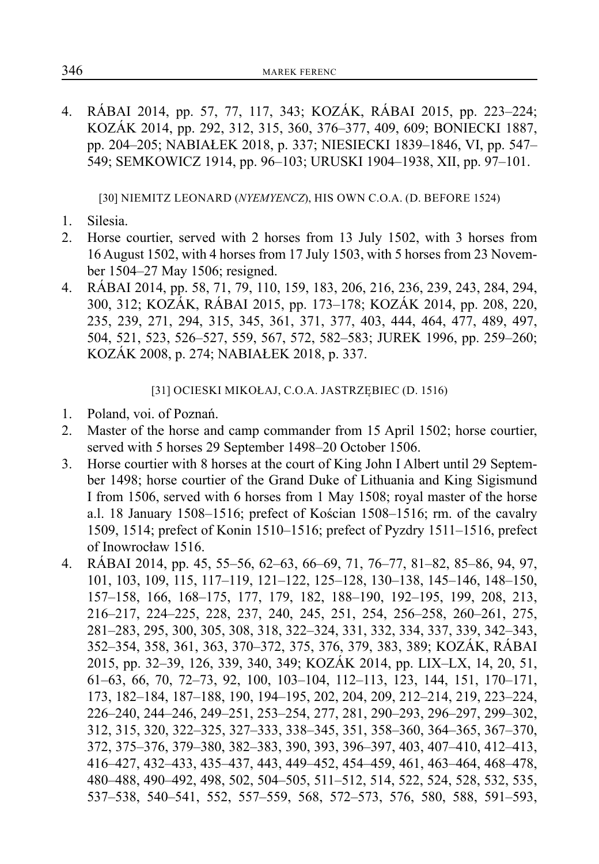4. RÁBAI 2014, pp. 57, 77, 117, 343; KOZÁK, RÁBAI 2015, pp. 223–224; KOZÁK 2014, pp. 292, 312, 315, 360, 376–377, 409, 609; BONIECKI 1887, pp. 204–205; NABIAŁEK 2018, p. 337; NIESIECKI 1839–1846, VI, pp. 547– 549; SEMKOWICZ 1914, pp. 96–103; URUSKI 1904–1938, XII, pp. 97–101.

[30] NIEMITZ LEONARD (*NYEMYENCZ*), HIS OWN C.O.A. (D. BEFORE 1524)

- 1. Silesia.
- 2. Horse courtier, served with 2 horses from 13 July 1502, with 3 horses from 16 August 1502, with 4 horses from 17 July 1503, with 5 horses from 23 November 1504–27 May 1506; resigned.
- 4. RÁBAI 2014, pp. 58, 71, 79, 110, 159, 183, 206, 216, 236, 239, 243, 284, 294, 300, 312; KOZÁK, RÁBAI 2015, pp. 173–178; KOZÁK 2014, pp. 208, 220, 235, 239, 271, 294, 315, 345, 361, 371, 377, 403, 444, 464, 477, 489, 497, 504, 521, 523, 526–527, 559, 567, 572, 582–583; JUREK 1996, pp. 259–260; KOZÁK 2008, p. 274; NABIAŁEK 2018, p. 337.

[31] OCIESKI MIKOŁAJ, C.O.A. JASTRZĘBIEC (D. 1516)

- 1. Poland, voi. of Poznań.
- 2. Master of the horse and camp commander from 15 April 1502; horse courtier, served with 5 horses 29 September 1498–20 October 1506.
- 3. Horse courtier with 8 horses at the court of King John I Albert until 29 September 1498; horse courtier of the Grand Duke of Lithuania and King Sigismund I from 1506, served with 6 horses from 1 May 1508; royal master of the horse a.l. 18 January 1508–1516; prefect of Kościan 1508–1516; rm. of the cavalry 1509, 1514; prefect of Konin 1510–1516; prefect of Pyzdry 1511–1516, prefect of Inowrocław 1516.
- 4. RÁBAI 2014, pp. 45, 55–56, 62–63, 66–69, 71, 76–77, 81–82, 85–86, 94, 97, 101, 103, 109, 115, 117–119, 121–122, 125–128, 130–138, 145–146, 148–150, 157–158, 166, 168–175, 177, 179, 182, 188–190, 192–195, 199, 208, 213, 216–217, 224–225, 228, 237, 240, 245, 251, 254, 256–258, 260–261, 275, 281–283, 295, 300, 305, 308, 318, 322–324, 331, 332, 334, 337, 339, 342–343, 352–354, 358, 361, 363, 370–372, 375, 376, 379, 383, 389; KOZÁK, RÁBAI 2015, pp. 32–39, 126, 339, 340, 349; KOZÁK 2014, pp. LIX–LX, 14, 20, 51, 61–63, 66, 70, 72–73, 92, 100, 103–104, 112–113, 123, 144, 151, 170–171, 173, 182–184, 187–188, 190, 194–195, 202, 204, 209, 212–214, 219, 223–224, 226–240, 244–246, 249–251, 253–254, 277, 281, 290–293, 296–297, 299–302, 312, 315, 320, 322–325, 327–333, 338–345, 351, 358–360, 364–365, 367–370, 372, 375–376, 379–380, 382–383, 390, 393, 396–397, 403, 407–410, 412–413, 416–427, 432–433, 435–437, 443, 449–452, 454–459, 461, 463–464, 468–478, 480–488, 490–492, 498, 502, 504–505, 511–512, 514, 522, 524, 528, 532, 535, 537–538, 540–541, 552, 557–559, 568, 572–573, 576, 580, 588, 591–593,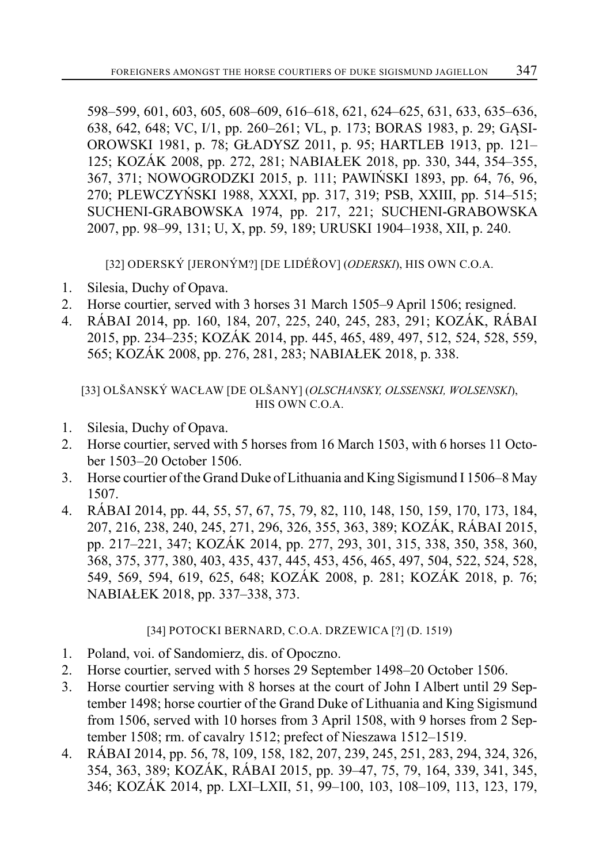598–599, 601, 603, 605, 608–609, 616–618, 621, 624–625, 631, 633, 635–636, 638, 642, 648; VC, I/1, pp. 260–261; VL, p. 173; BORAS 1983, p. 29; GĄSI-OROWSKI 1981, p. 78; GŁADYSZ 2011, p. 95; HARTLEB 1913, pp. 121– 125; KOZÁK 2008, pp. 272, 281; NABIAŁEK 2018, pp. 330, 344, 354–355, 367, 371; NOWOGRODZKI 2015, p. 111; PAWIŃSKI 1893, pp. 64, 76, 96, 270; PLEWCZYŃSKI 1988, XXXI, pp. 317, 319; PSB, XXIII, pp. 514–515; SUCHENI-GRABOWSKA 1974, pp. 217, 221; SUCHENI-GRABOWSKA 2007, pp. 98–99, 131; U, X, pp. 59, 189; URUSKI 1904–1938, XII, p. 240.

[32] ODERSKÝ [JERONÝM?] [DE LIDÉŘOV] (*ODERSKI*), HIS OWN C.O.A.

- 1. Silesia, Duchy of Opava.
- 2. Horse courtier, served with 3 horses 31 March 1505–9 April 1506; resigned.
- 4. RÁBAI 2014, pp. 160, 184, 207, 225, 240, 245, 283, 291; KOZÁK, RÁBAI 2015, pp. 234–235; KOZÁK 2014, pp. 445, 465, 489, 497, 512, 524, 528, 559, 565; KOZÁK 2008, pp. 276, 281, 283; NABIAŁEK 2018, p. 338.

[33] OLŠANSKÝ WACŁAW [DE OLŠANY] (*OLSCHANSKY, OLSSENSKI, WOLSENSKI*), HIS OWN C.O.A.

- 1. Silesia, Duchy of Opava.
- 2. Horse courtier, served with 5 horses from 16 March 1503, with 6 horses 11 October 1503–20 October 1506.
- 3. Horse courtier of the Grand Duke of Lithuania and King Sigismund I 1506–8 May 1507.
- 4. RÁBAI 2014, pp. 44, 55, 57, 67, 75, 79, 82, 110, 148, 150, 159, 170, 173, 184, 207, 216, 238, 240, 245, 271, 296, 326, 355, 363, 389; KOZÁK, RÁBAI 2015, pp. 217–221, 347; KOZÁK 2014, pp. 277, 293, 301, 315, 338, 350, 358, 360, 368, 375, 377, 380, 403, 435, 437, 445, 453, 456, 465, 497, 504, 522, 524, 528, 549, 569, 594, 619, 625, 648; KOZÁK 2008, p. 281; KOZÁK 2018, p. 76; NABIAŁEK 2018, pp. 337–338, 373.

# [34] POTOCKI BERNARD, C.O.A. DRZEWICA [?] (D. 1519)

- 1. Poland, voi. of Sandomierz, dis. of Opoczno.
- 2. Horse courtier, served with 5 horses 29 September 1498–20 October 1506.
- 3. Horse courtier serving with 8 horses at the court of John I Albert until 29 September 1498; horse courtier of the Grand Duke of Lithuania and King Sigismund from 1506, served with 10 horses from 3 April 1508, with 9 horses from 2 September 1508; rm. of cavalry 1512; prefect of Nieszawa 1512–1519.
- 4. RÁBAI 2014, pp. 56, 78, 109, 158, 182, 207, 239, 245, 251, 283, 294, 324, 326, 354, 363, 389; KOZÁK, RÁBAI 2015, pp. 39–47, 75, 79, 164, 339, 341, 345, 346; KOZÁK 2014, pp. LXI–LXII, 51, 99–100, 103, 108–109, 113, 123, 179,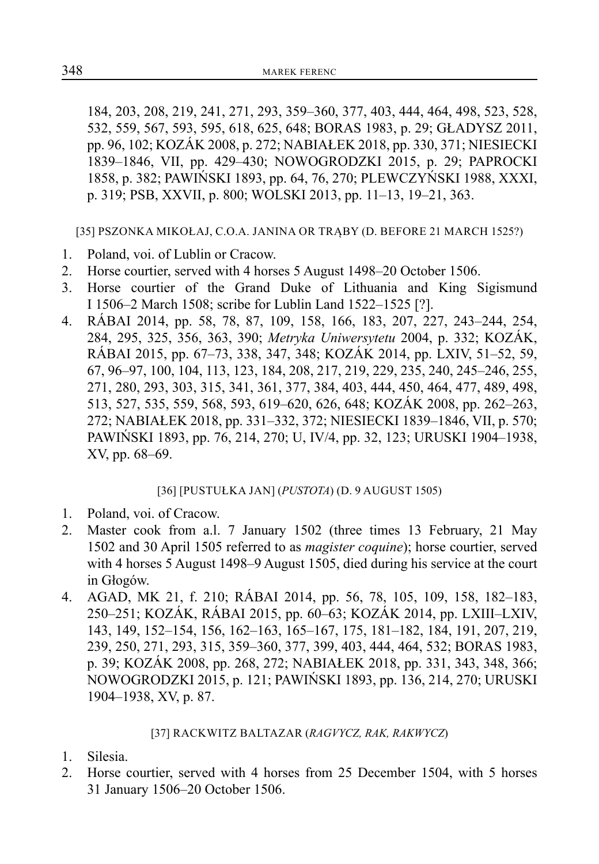184, 203, 208, 219, 241, 271, 293, 359–360, 377, 403, 444, 464, 498, 523, 528, 532, 559, 567, 593, 595, 618, 625, 648; BORAS 1983, p. 29; GŁADYSZ 2011, pp. 96, 102; KOZÁK 2008, p. 272; NABIAŁEK 2018, pp. 330, 371; NIESIECKI 1839–1846, VII, pp. 429–430; NOWOGRODZKI 2015, p. 29; PAPROCKI 1858, p. 382; PAWIŃSKI 1893, pp. 64, 76, 270; PLEWCZYŃSKI 1988, XXXI, p. 319; PSB, XXVII, p. 800; WOLSKI 2013, pp. 11–13, 19–21, 363.

[35] PSZONKA MIKOŁAJ, C.O.A. JANINA OR TRĄBY (D. BEFORE 21 MARCH 1525?)

- 1. Poland, voi. of Lublin or Cracow.
- 2. Horse courtier, served with 4 horses 5 August 1498–20 October 1506.
- 3. Horse courtier of the Grand Duke of Lithuania and King Sigismund I 1506–2 March 1508; scribe for Lublin Land 1522–1525 [?].
- 4. RÁBAI 2014, pp. 58, 78, 87, 109, 158, 166, 183, 207, 227, 243–244, 254, 284, 295, 325, 356, 363, 390; *Metryka Uniwersytetu* 2004, p. 332; KOZÁK, RÁBAI 2015, pp. 67–73, 338, 347, 348; KOZÁK 2014, pp. LXIV, 51–52, 59, 67, 96–97, 100, 104, 113, 123, 184, 208, 217, 219, 229, 235, 240, 245–246, 255, 271, 280, 293, 303, 315, 341, 361, 377, 384, 403, 444, 450, 464, 477, 489, 498, 513, 527, 535, 559, 568, 593, 619–620, 626, 648; KOZÁK 2008, pp. 262–263, 272; NABIAŁEK 2018, pp. 331–332, 372; NIESIECKI 1839–1846, VII, p. 570; PAWIŃSKI 1893, pp. 76, 214, 270; U, IV/4, pp. 32, 123; URUSKI 1904–1938, XV, pp. 68–69.

# [36] [PUSTUŁKA JAN] (*PUSTOTA*) (D. 9 AUGUST 1505)

- 1. Poland, voi. of Cracow.
- 2. Master cook from a.l. 7 January 1502 (three times 13 February, 21 May 1502 and 30 April 1505 referred to as *magister coquine*); horse courtier, served with 4 horses 5 August 1498–9 August 1505, died during his service at the court in Głogów.
- 4. AGAD, MK 21, f. 210; RÁBAI 2014, pp. 56, 78, 105, 109, 158, 182–183, 250–251; KOZÁK, RÁBAI 2015, pp. 60–63; KOZÁK 2014, pp. LXIII–LXIV, 143, 149, 152–154, 156, 162–163, 165–167, 175, 181–182, 184, 191, 207, 219, 239, 250, 271, 293, 315, 359–360, 377, 399, 403, 444, 464, 532; BORAS 1983, p. 39; KOZÁK 2008, pp. 268, 272; NABIAŁEK 2018, pp. 331, 343, 348, 366; NOWOGRODZKI 2015, p. 121; PAWIŃSKI 1893, pp. 136, 214, 270; URUSKI 1904–1938, XV, p. 87.

#### [37] RACKWITZ BALTAZAR (*RAGVYCZ, RAK, RAKWYCZ*)

- 1. Silesia.
- 2. Horse courtier, served with 4 horses from 25 December 1504, with 5 horses 31 January 1506–20 October 1506.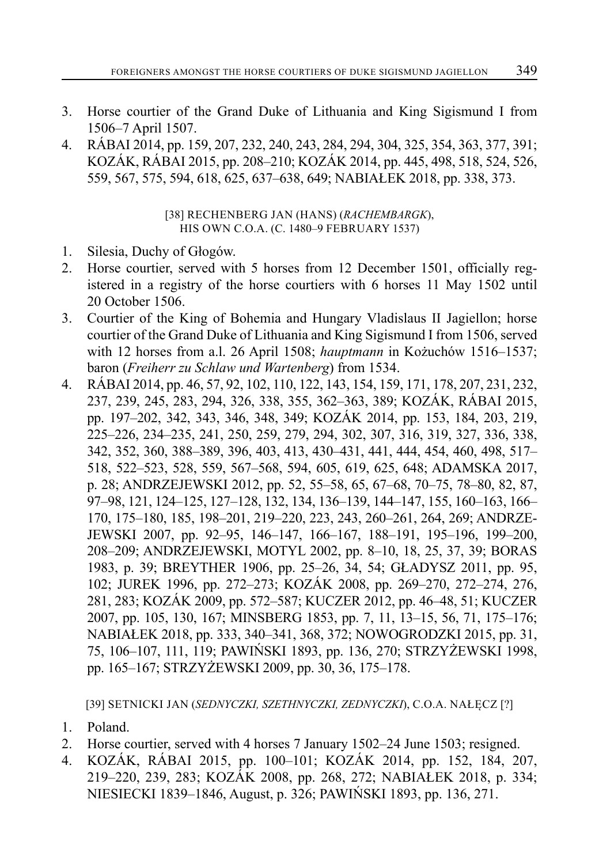- 3. Horse courtier of the Grand Duke of Lithuania and King Sigismund I from 1506–7 April 1507.
- 4. RÁBAI 2014, pp. 159, 207, 232, 240, 243, 284, 294, 304, 325, 354, 363, 377, 391; KOZÁK, RÁBAI 2015, pp. 208–210; KOZÁK 2014, pp. 445, 498, 518, 524, 526, 559, 567, 575, 594, 618, 625, 637–638, 649; NABIAŁEK 2018, pp. 338, 373.

[38] RECHENBERG JAN (HANS) (*RACHEMBARGK*), HIS OWN C.O.A. (C. 1480–9 FEBRUARY 1537)

- 1. Silesia, Duchy of Głogów.
- 2. Horse courtier, served with 5 horses from 12 December 1501, officially registered in a registry of the horse courtiers with 6 horses 11 May 1502 until 20 October 1506.
- 3. Courtier of the King of Bohemia and Hungary Vladislaus II Jagiellon; horse courtier of the Grand Duke of Lithuania and King Sigismund I from 1506, served with 12 horses from a.l. 26 April 1508; *hauptmann* in Kożuchów 1516–1537; baron (*Freiherr zu Schlaw und Wartenberg*) from 1534.
- 4. RÁBAI 2014, pp. 46, 57, 92, 102, 110, 122, 143, 154, 159, 171, 178, 207, 231, 232, 237, 239, 245, 283, 294, 326, 338, 355, 362–363, 389; KOZÁK, RÁBAI 2015, pp. 197–202, 342, 343, 346, 348, 349; KOZÁK 2014, pp. 153, 184, 203, 219, 225–226, 234–235, 241, 250, 259, 279, 294, 302, 307, 316, 319, 327, 336, 338, 342, 352, 360, 388–389, 396, 403, 413, 430–431, 441, 444, 454, 460, 498, 517– 518, 522–523, 528, 559, 567–568, 594, 605, 619, 625, 648; ADAMSKA 2017, p. 28; ANDRZEJEWSKI 2012, pp. 52, 55–58, 65, 67–68, 70–75, 78–80, 82, 87, 97–98, 121, 124–125, 127–128, 132, 134, 136–139, 144–147, 155, 160–163, 166– 170, 175–180, 185, 198–201, 219–220, 223, 243, 260–261, 264, 269; ANDRZE-JEWSKI 2007, pp. 92–95, 146–147, 166–167, 188–191, 195–196, 199–200, 208–209; ANDRZEJEWSKI, MOTYL 2002, pp. 8–10, 18, 25, 37, 39; BORAS 1983, p. 39; BREYTHER 1906, pp. 25–26, 34, 54; GŁADYSZ 2011, pp. 95, 102; JUREK 1996, pp. 272–273; KOZÁK 2008, pp. 269–270, 272–274, 276, 281, 283; KOZÁK 2009, pp. 572–587; KUCZER 2012, pp. 46–48, 51; KUCZER 2007, pp. 105, 130, 167; MINSBERG 1853, pp. 7, 11, 13–15, 56, 71, 175–176; NABIAŁEK 2018, pp. 333, 340–341, 368, 372; NOWOGRODZKI 2015, pp. 31, 75, 106–107, 111, 119; PAWIŃSKI 1893, pp. 136, 270; STRZYŻEWSKI 1998, pp. 165–167; STRZYŻEWSKI 2009, pp. 30, 36, 175–178.

[39] SETNICKI JAN (*SEDNYCZKI, SZETHNYCZKI, ZEDNYCZKI*), C.O.A. NAŁĘCZ [?]

- 1. Poland.
- 2. Horse courtier, served with 4 horses 7 January 1502–24 June 1503; resigned.
- 4. KOZÁK, RÁBAI 2015, pp. 100–101; KOZÁK 2014, pp. 152, 184, 207, 219–220, 239, 283; KOZÁK 2008, pp. 268, 272; NABIAŁEK 2018, p. 334; NIESIECKI 1839–1846, August, p. 326; PAWIŃSKI 1893, pp. 136, 271.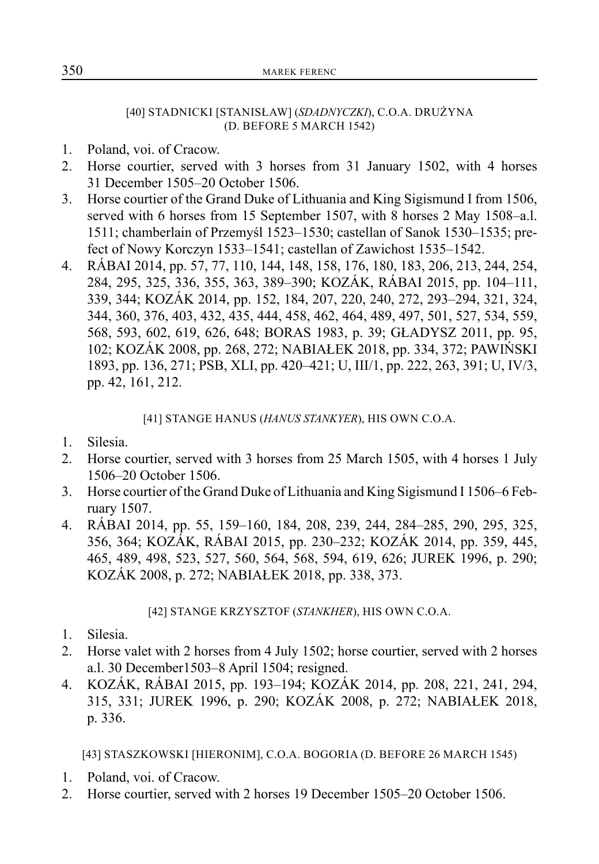#### [40] STADNICKI [STANISŁAW] (*SDADNYCZKI*), C.O.A. DRUŻYNA (D. BEFORE 5 MARCH 1542)

- 1. Poland, voi. of Cracow.
- 2. Horse courtier, served with 3 horses from 31 January 1502, with 4 horses 31 December 1505–20 October 1506.
- 3. Horse courtier of the Grand Duke of Lithuania and King Sigismund I from 1506, served with 6 horses from 15 September 1507, with 8 horses 2 May 1508–a.l. 1511; chamberlain of Przemyśl 1523–1530; castellan of Sanok 1530–1535; prefect of Nowy Korczyn 1533–1541; castellan of Zawichost 1535–1542.
- 4. RÁBAI 2014, pp. 57, 77, 110, 144, 148, 158, 176, 180, 183, 206, 213, 244, 254, 284, 295, 325, 336, 355, 363, 389–390; KOZÁK, RÁBAI 2015, pp. 104–111, 339, 344; KOZÁK 2014, pp. 152, 184, 207, 220, 240, 272, 293–294, 321, 324, 344, 360, 376, 403, 432, 435, 444, 458, 462, 464, 489, 497, 501, 527, 534, 559, 568, 593, 602, 619, 626, 648; BORAS 1983, p. 39; GŁADYSZ 2011, pp. 95, 102; KOZÁK 2008, pp. 268, 272; NABIAŁEK 2018, pp. 334, 372; PAWIŃSKI 1893, pp. 136, 271; PSB, XLI, pp. 420–421; U, III/1, pp. 222, 263, 391; U, IV/3, pp. 42, 161, 212.

[41] STANGE HANUS (*HANUS STANKYER*), HIS OWN C.O.A.

- 1. Silesia.
- 2. Horse courtier, served with 3 horses from 25 March 1505, with 4 horses 1 July 1506–20 October 1506.
- 3. Horse courtier of the Grand Duke of Lithuania and King Sigismund I 1506–6 February 1507.
- 4. RÁBAI 2014, pp. 55, 159–160, 184, 208, 239, 244, 284–285, 290, 295, 325, 356, 364; KOZÁK, RÁBAI 2015, pp. 230–232; KOZÁK 2014, pp. 359, 445, 465, 489, 498, 523, 527, 560, 564, 568, 594, 619, 626; JUREK 1996, p. 290; KOZÁK 2008, p. 272; NABIAŁEK 2018, pp. 338, 373.

[42] STANGE KRZYSZTOF (*STANKHER*), HIS OWN C.O.A.

- 1. Silesia.
- 2. Horse valet with 2 horses from 4 July 1502; horse courtier, served with 2 horses a.l. 30 December1503–8 April 1504; resigned.
- 4. KOZÁK, RÁBAI 2015, pp. 193–194; KOZÁK 2014, pp. 208, 221, 241, 294, 315, 331; JUREK 1996, p. 290; KOZÁK 2008, p. 272; NABIAŁEK 2018, p. 336.

[43] STASZKOWSKI [HIERONIM], C.O.A. BOGORIA (D. BEFORE 26 MARCH 1545)

- 1. Poland, voi. of Cracow.
- 2. Horse courtier, served with 2 horses 19 December 1505–20 October 1506.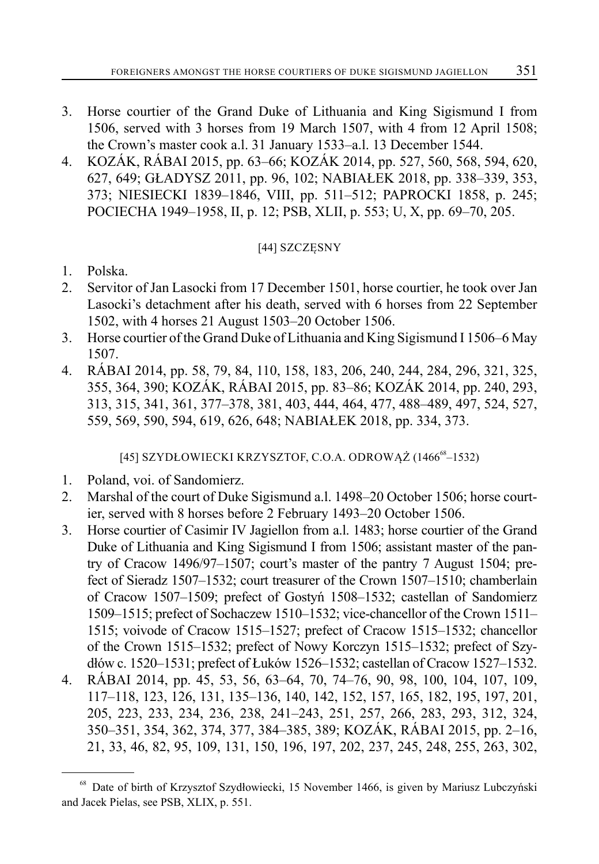- 3. Horse courtier of the Grand Duke of Lithuania and King Sigismund I from 1506, served with 3 horses from 19 March 1507, with 4 from 12 April 1508; the Crown's master cook a.l. 31 January 1533–a.l. 13 December 1544.
- 4. KOZÁK, RÁBAI 2015, pp. 63–66; KOZÁK 2014, pp. 527, 560, 568, 594, 620, 627, 649; GŁADYSZ 2011, pp. 96, 102; NABIAŁEK 2018, pp. 338–339, 353, 373; NIESIECKI 1839–1846, VIII, pp. 511–512; PAPROCKI 1858, p. 245; POCIECHA 1949–1958, II, p. 12; PSB, XLII, p. 553; U, X, pp. 69–70, 205.

# [44] SZCZĘSNY

- 1. Polska.
- 2. Servitor of Jan Lasocki from 17 December 1501, horse courtier, he took over Jan Lasocki's detachment after his death, served with 6 horses from 22 September 1502, with 4 horses 21 August 1503–20 October 1506.
- 3. Horse courtier of the Grand Duke of Lithuania and King Sigismund I 1506–6 May 1507.
- 4. RÁBAI 2014, pp. 58, 79, 84, 110, 158, 183, 206, 240, 244, 284, 296, 321, 325, 355, 364, 390; KOZÁK, RÁBAI 2015, pp. 83–86; KOZÁK 2014, pp. 240, 293, 313, 315, 341, 361, 377–378, 381, 403, 444, 464, 477, 488–489, 497, 524, 527, 559, 569, 590, 594, 619, 626, 648; NABIAŁEK 2018, pp. 334, 373.

[45] SZYDŁOWIECKI KRZYSZTOF, C.O.A. ODROWĄŻ (1466<sup>68</sup>–1532)

- 1. Poland, voi. of Sandomierz.
- 2. Marshal of the court of Duke Sigismund a.l. 1498–20 October 1506; horse courtier, served with 8 horses before 2 February 1493–20 October 1506.
- 3. Horse courtier of Casimir IV Jagiellon from a.l. 1483; horse courtier of the Grand Duke of Lithuania and King Sigismund I from 1506; assistant master of the pantry of Cracow 1496/97–1507; court's master of the pantry 7 August 1504; prefect of Sieradz 1507–1532; court treasurer of the Crown 1507–1510; chamberlain of Cracow 1507–1509; prefect of Gostyń 1508–1532; castellan of Sandomierz 1509–1515; prefect of Sochaczew 1510–1532; vice-chancellor of the Crown 1511– 1515; voivode of Cracow 1515–1527; prefect of Cracow 1515–1532; chancellor of the Crown 1515–1532; prefect of Nowy Korczyn 1515–1532; prefect of Szydłów c. 1520–1531; prefect of Łuków 1526–1532; castellan of Cracow 1527–1532.
- 4. RÁBAI 2014, pp. 45, 53, 56, 63–64, 70, 74–76, 90, 98, 100, 104, 107, 109, 117–118, 123, 126, 131, 135–136, 140, 142, 152, 157, 165, 182, 195, 197, 201, 205, 223, 233, 234, 236, 238, 241–243, 251, 257, 266, 283, 293, 312, 324, 350–351, 354, 362, 374, 377, 384–385, 389; KOZÁK, RÁBAI 2015, pp. 2–16, 21, 33, 46, 82, 95, 109, 131, 150, 196, 197, 202, 237, 245, 248, 255, 263, 302,

<sup>68</sup> Date of birth of Krzysztof Szydłowiecki, 15 November 1466, is given by Mariusz Lubczyński and Jacek Pielas, see PSB, XLIX, p. 551.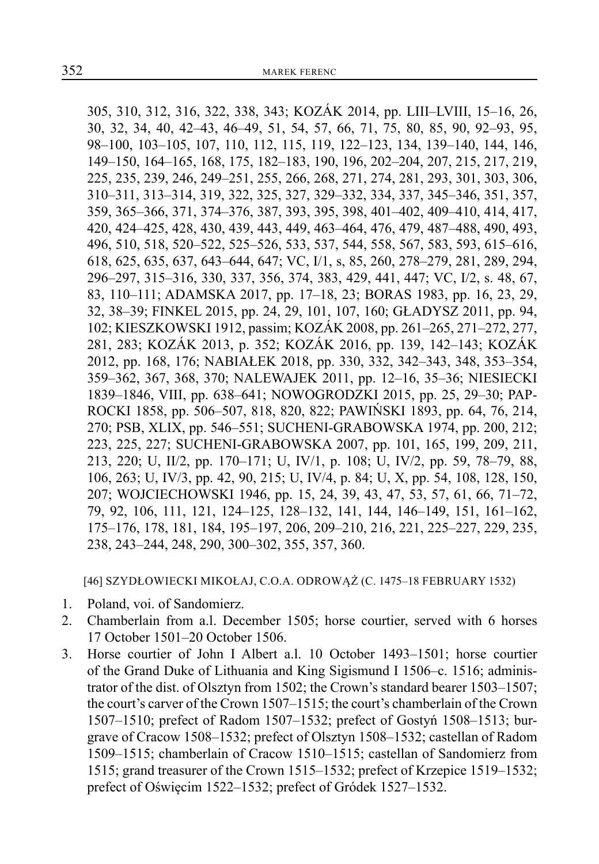305, 310, 312, 316, 322, 338, 343; KOZÁK 2014, pp. LIII–LVIII, 15–16, 26, 30, 32, 34, 40, 42–43, 46–49, 51, 54, 57, 66, 71, 75, 80, 85, 90, 92–93, 95, 98–100, 103–105, 107, 110, 112, 115, 119, 122–123, 134, 139–140, 144, 146, 149–150, 164–165, 168, 175, 182–183, 190, 196, 202–204, 207, 215, 217, 219, 225, 235, 239, 246, 249–251, 255, 266, 268, 271, 274, 281, 293, 301, 303, 306, 310–311, 313–314, 319, 322, 325, 327, 329–332, 334, 337, 345–346, 351, 357, 359, 365–366, 371, 374–376, 387, 393, 395, 398, 401–402, 409–410, 414, 417, 420, 424–425, 428, 430, 439, 443, 449, 463–464, 476, 479, 487–488, 490, 493, 496, 510, 518, 520–522, 525–526, 533, 537, 544, 558, 567, 583, 593, 615–616, 618, 625, 635, 637, 643–644, 647; VC, I/1, s, 85, 260, 278–279, 281, 289, 294, 296–297, 315–316, 330, 337, 356, 374, 383, 429, 441, 447; VC, I/2, s. 48, 67, 83, 110–111; ADAMSKA 2017, pp. 17–18, 23; BORAS 1983, pp. 16, 23, 29, 32, 38–39; FINKEL 2015, pp. 24, 29, 101, 107, 160; GŁADYSZ 2011, pp. 94, 102; KIESZKOWSKI 1912, passim; KOZÁK 2008, pp. 261–265, 271–272, 277, 281, 283; KOZÁK 2013, p. 352; KOZÁK 2016, pp. 139, 142–143; KOZÁK 2012, pp. 168, 176; NABIAŁEK 2018, pp. 330, 332, 342–343, 348, 353–354, 359–362, 367, 368, 370; NALEWAJEK 2011, pp. 12–16, 35–36; NIESIECKI 1839–1846, VIII, pp. 638–641; NOWOGRODZKI 2015, pp. 25, 29–30; PAP-ROCKI 1858, pp. 506–507, 818, 820, 822; PAWIŃSKI 1893, pp. 64, 76, 214, 270; PSB, XLIX, pp. 546–551; SUCHENI-GRABOWSKA 1974, pp. 200, 212; 223, 225, 227; SUCHENI-GRABOWSKA 2007, pp. 101, 165, 199, 209, 211, 213, 220; U, II/2, pp. 170–171; U, IV/1, p. 108; U, IV/2, pp. 59, 78–79, 88, 106, 263; U, IV/3, pp. 42, 90, 215; U, IV/4, p. 84; U, X, pp. 54, 108, 128, 150, 207; WOJCIECHOWSKI 1946, pp. 15, 24, 39, 43, 47, 53, 57, 61, 66, 71–72, 79, 92, 106, 111, 121, 124–125, 128–132, 141, 144, 146–149, 151, 161–162, 175–176, 178, 181, 184, 195–197, 206, 209–210, 216, 221, 225–227, 229, 235, 238, 243–244, 248, 290, 300–302, 355, 357, 360.

[46] SZYDŁOWIECKI MIKOŁAJ, C.O.A. ODROWĄŻ (C. 1475–18 FEBRUARY 1532)

- 1. Poland, voi. of Sandomierz.
- 2. Chamberlain from a.l. December 1505; horse courtier, served with 6 horses 17 October 1501–20 October 1506.
- 3. Horse courtier of John I Albert a.l. 10 October 1493–1501; horse courtier of the Grand Duke of Lithuania and King Sigismund I 1506–c. 1516; administrator of the dist. of Olsztyn from 1502; the Crown's standard bearer 1503–1507; the court's carver of the Crown 1507–1515; the court's chamberlain of the Crown 1507–1510; prefect of Radom 1507–1532; prefect of Gostyń 1508–1513; burgrave of Cracow 1508–1532; prefect of Olsztyn 1508–1532; castellan of Radom 1509–1515; chamberlain of Cracow 1510–1515; castellan of Sandomierz from 1515; grand treasurer of the Crown 1515–1532; prefect of Krzepice 1519–1532; prefect of Oświęcim 1522–1532; prefect of Gródek 1527–1532.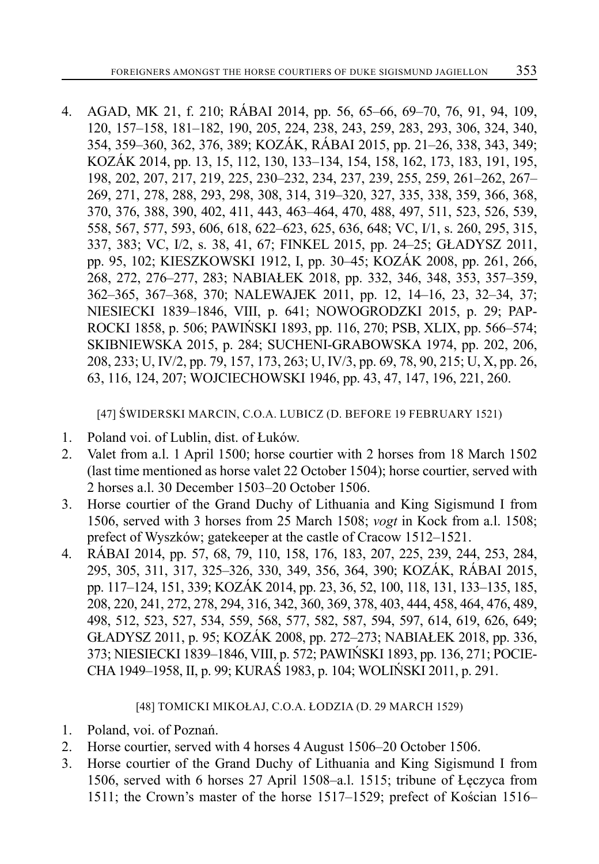4. AGAD, MK 21, f. 210; RÁBAI 2014, pp. 56, 65–66, 69–70, 76, 91, 94, 109, 120, 157–158, 181–182, 190, 205, 224, 238, 243, 259, 283, 293, 306, 324, 340, 354, 359–360, 362, 376, 389; KOZÁK, RÁBAI 2015, pp. 21–26, 338, 343, 349; KOZÁK 2014, pp. 13, 15, 112, 130, 133–134, 154, 158, 162, 173, 183, 191, 195, 198, 202, 207, 217, 219, 225, 230–232, 234, 237, 239, 255, 259, 261–262, 267– 269, 271, 278, 288, 293, 298, 308, 314, 319–320, 327, 335, 338, 359, 366, 368, 370, 376, 388, 390, 402, 411, 443, 463–464, 470, 488, 497, 511, 523, 526, 539, 558, 567, 577, 593, 606, 618, 622–623, 625, 636, 648; VC, I/1, s. 260, 295, 315, 337, 383; VC, I/2, s. 38, 41, 67; FINKEL 2015, pp. 24–25; GŁADYSZ 2011, pp. 95, 102; KIESZKOWSKI 1912, I, pp. 30–45; KOZÁK 2008, pp. 261, 266, 268, 272, 276–277, 283; NABIAŁEK 2018, pp. 332, 346, 348, 353, 357–359, 362–365, 367–368, 370; NALEWAJEK 2011, pp. 12, 14–16, 23, 32–34, 37; NIESIECKI 1839–1846, VIII, p. 641; NOWOGRODZKI 2015, p. 29; PAP-ROCKI 1858, p. 506; PAWIŃSKI 1893, pp. 116, 270; PSB, XLIX, pp. 566–574; SKIBNIEWSKA 2015, p. 284; SUCHENI-GRABOWSKA 1974, pp. 202, 206, 208, 233; U, IV/2, pp. 79, 157, 173, 263; U, IV/3, pp. 69, 78, 90, 215; U, X, pp. 26, 63, 116, 124, 207; WOJCIECHOWSKI 1946, pp. 43, 47, 147, 196, 221, 260.

[47] ŚWIDERSKI MARCIN, C.O.A. LUBICZ (D. BEFORE 19 FEBRUARY 1521)

- 1. Poland voi. of Lublin, dist. of Łuków.
- 2. Valet from a.l. 1 April 1500; horse courtier with 2 horses from 18 March 1502 (last time mentioned as horse valet 22 October 1504); horse courtier, served with 2 horses a.l. 30 December 1503–20 October 1506.
- 3. Horse courtier of the Grand Duchy of Lithuania and King Sigismund I from 1506, served with 3 horses from 25 March 1508; *vogt* in Kock from a.l. 1508; prefect of Wyszków; gatekeeper at the castle of Cracow 1512–1521.
- 4. RÁBAI 2014, pp. 57, 68, 79, 110, 158, 176, 183, 207, 225, 239, 244, 253, 284, 295, 305, 311, 317, 325–326, 330, 349, 356, 364, 390; KOZÁK, RÁBAI 2015, pp. 117–124, 151, 339; KOZÁK 2014, pp. 23, 36, 52, 100, 118, 131, 133–135, 185, 208, 220, 241, 272, 278, 294, 316, 342, 360, 369, 378, 403, 444, 458, 464, 476, 489, 498, 512, 523, 527, 534, 559, 568, 577, 582, 587, 594, 597, 614, 619, 626, 649; GŁADYSZ 2011, p. 95; KOZÁK 2008, pp. 272–273; NABIAŁEK 2018, pp. 336, 373; NIESIECKI 1839–1846, VIII, p. 572; PAWIŃSKI 1893, pp. 136, 271; POCIE-CHA 1949–1958, II, p. 99; KURAŚ 1983, p. 104; WOLIŃSKI 2011, p. 291.

## [48] TOMICKI MIKOŁAJ, C.O.A. ŁODZIA (D. 29 MARCH 1529)

- 1. Poland, voi. of Poznań.
- 2. Horse courtier, served with 4 horses 4 August 1506–20 October 1506.
- 3. Horse courtier of the Grand Duchy of Lithuania and King Sigismund I from 1506, served with 6 horses 27 April 1508–a.l. 1515; tribune of Łęczyca from 1511; the Crown's master of the horse 1517–1529; prefect of Kościan 1516–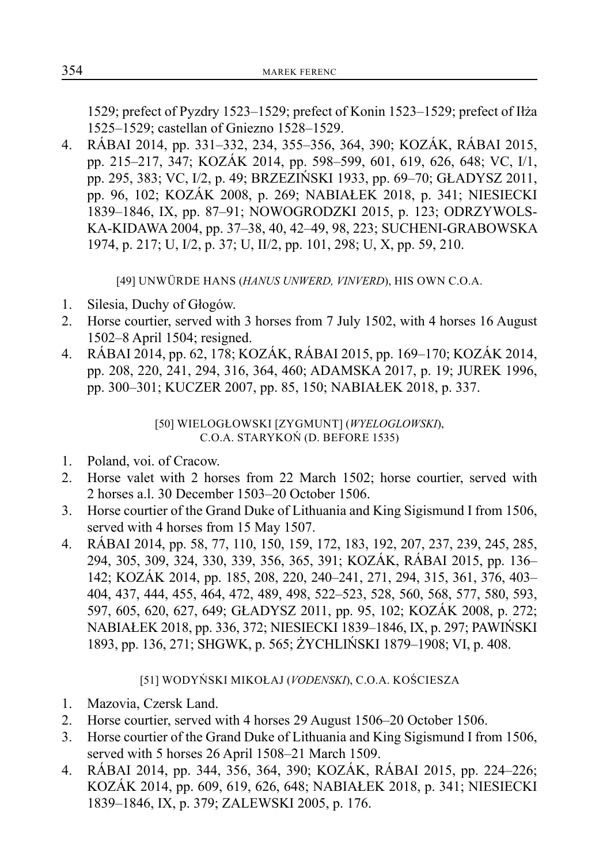1529; prefect of Pyzdry 1523–1529; prefect of Konin 1523–1529; prefect of Iłża 1525–1529; castellan of Gniezno 1528–1529.

4. RÁBAI 2014, pp. 331–332, 234, 355–356, 364, 390; KOZÁK, RÁBAI 2015, pp. 215–217, 347; KOZÁK 2014, pp. 598–599, 601, 619, 626, 648; VC, I/1, pp. 295, 383; VC, I/2, p. 49; BRZEZIŃSKI 1933, pp. 69–70; GŁADYSZ 2011, pp. 96, 102; KOZÁK 2008, p. 269; NABIAŁEK 2018, p. 341; NIESIECKI 1839–1846, IX, pp. 87–91; NOWOGRODZKI 2015, p. 123; ODRZYWOLS-KA-KIDAWA 2004, pp. 37–38, 40, 42–49, 98, 223; SUCHENI-GRABOWSKA 1974, p. 217; U, I/2, p. 37; U, II/2, pp. 101, 298; U, X, pp. 59, 210.

[49] UNWÜRDE HANS (*HANUS UNWERD, VINVERD*), HIS OWN C.O.A.

- 1. Silesia, Duchy of Głogów.
- 2. Horse courtier, served with 3 horses from 7 July 1502, with 4 horses 16 August 1502–8 April 1504; resigned.
- 4. RÁBAI 2014, pp. 62, 178; KOZÁK, RÁBAI 2015, pp. 169–170; KOZÁK 2014, pp. 208, 220, 241, 294, 316, 364, 460; ADAMSKA 2017, p. 19; JUREK 1996, pp. 300–301; KUCZER 2007, pp. 85, 150; NABIAŁEK 2018, p. 337.

[50] WIELOGŁOWSKI [ZYGMUNT] (*WYELOGLOWSKI*), C.O.A. STARYKOŃ (D. BEFORE 1535)

- 1. Poland, voi. of Cracow.
- 2. Horse valet with 2 horses from 22 March 1502; horse courtier, served with 2 horses a.l. 30 December 1503–20 October 1506.
- 3. Horse courtier of the Grand Duke of Lithuania and King Sigismund I from 1506, served with 4 horses from 15 May 1507.
- 4. RÁBAI 2014, pp. 58, 77, 110, 150, 159, 172, 183, 192, 207, 237, 239, 245, 285, 294, 305, 309, 324, 330, 339, 356, 365, 391; KOZÁK, RÁBAI 2015, pp. 136– 142; KOZÁK 2014, pp. 185, 208, 220, 240–241, 271, 294, 315, 361, 376, 403– 404, 437, 444, 455, 464, 472, 489, 498, 522–523, 528, 560, 568, 577, 580, 593, 597, 605, 620, 627, 649; GŁADYSZ 2011, pp. 95, 102; KOZÁK 2008, p. 272; NABIAŁEK 2018, pp. 336, 372; NIESIECKI 1839–1846, IX, p. 297; PAWIŃSKI 1893, pp. 136, 271; SHGWK, p. 565; ŻYCHLIŃSKI 1879–1908; VI, p. 408.

# [51] WODYŃSKI MIKOŁAJ (*VODENSKI*), C.O.A. KOŚCIESZA

- 1. Mazovia, Czersk Land.
- 2. Horse courtier, served with 4 horses 29 August 1506–20 October 1506.
- 3. Horse courtier of the Grand Duke of Lithuania and King Sigismund I from 1506, served with 5 horses 26 April 1508–21 March 1509.
- 4. RÁBAI 2014, pp. 344, 356, 364, 390; KOZÁK, RÁBAI 2015, pp. 224–226; KOZÁK 2014, pp. 609, 619, 626, 648; NABIAŁEK 2018, p. 341; NIESIECKI 1839–1846, IX, p. 379; ZALEWSKI 2005, p. 176.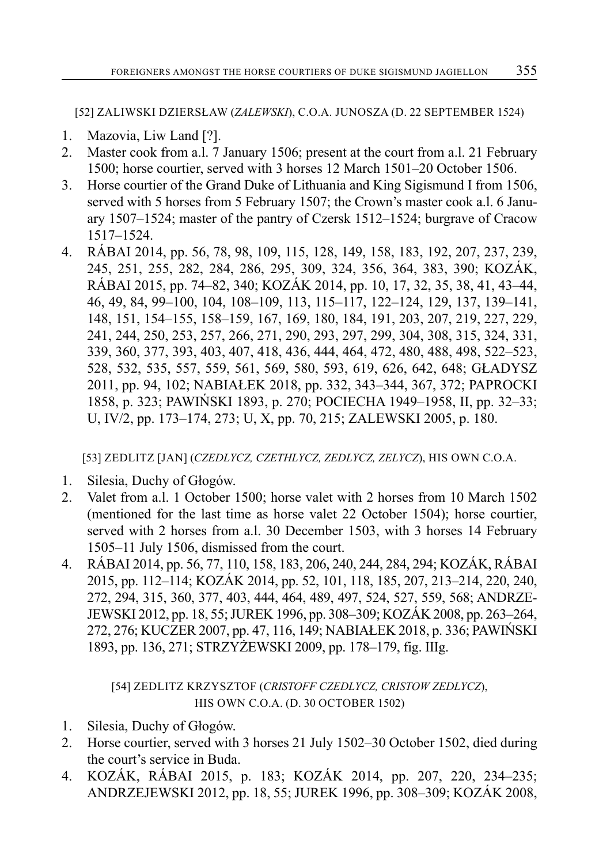[52] ZALIWSKI DZIERSŁAW (*ZALEWSKI*), C.O.A. JUNOSZA (D. 22 SEPTEMBER 1524)

- 1. Mazovia, Liw Land [?].
- 2. Master cook from a.l. 7 January 1506; present at the court from a.l. 21 February 1500; horse courtier, served with 3 horses 12 March 1501–20 October 1506.
- 3. Horse courtier of the Grand Duke of Lithuania and King Sigismund I from 1506, served with 5 horses from 5 February 1507; the Crown's master cook a.l. 6 January 1507–1524; master of the pantry of Czersk 1512–1524; burgrave of Cracow 1517–1524.
- 4. RÁBAI 2014, pp. 56, 78, 98, 109, 115, 128, 149, 158, 183, 192, 207, 237, 239, 245, 251, 255, 282, 284, 286, 295, 309, 324, 356, 364, 383, 390; KOZÁK, RÁBAI 2015, pp. 74–82, 340; KOZÁK 2014, pp. 10, 17, 32, 35, 38, 41, 43–44, 46, 49, 84, 99–100, 104, 108–109, 113, 115–117, 122–124, 129, 137, 139–141, 148, 151, 154–155, 158–159, 167, 169, 180, 184, 191, 203, 207, 219, 227, 229, 241, 244, 250, 253, 257, 266, 271, 290, 293, 297, 299, 304, 308, 315, 324, 331, 339, 360, 377, 393, 403, 407, 418, 436, 444, 464, 472, 480, 488, 498, 522–523, 528, 532, 535, 557, 559, 561, 569, 580, 593, 619, 626, 642, 648; GŁADYSZ 2011, pp. 94, 102; NABIAŁEK 2018, pp. 332, 343–344, 367, 372; PAPROCKI 1858, p. 323; PAWIŃSKI 1893, p. 270; POCIECHA 1949–1958, II, pp. 32–33; U, IV/2, pp. 173–174, 273; U, X, pp. 70, 215; ZALEWSKI 2005, p. 180.

[53] ZEDLITZ [JAN] (*CZEDLYCZ, CZETHLYCZ, ZEDLYCZ, ZELYCZ*), HIS OWN C.O.A.

- 1. Silesia, Duchy of Głogów.
- 2. Valet from a.l. 1 October 1500; horse valet with 2 horses from 10 March 1502 (mentioned for the last time as horse valet 22 October 1504); horse courtier, served with 2 horses from a.l. 30 December 1503, with 3 horses 14 February 1505–11 July 1506, dismissed from the court.
- 4. RÁBAI 2014, pp. 56, 77, 110, 158, 183, 206, 240, 244, 284, 294; KOZÁK, RÁBAI 2015, pp. 112–114; KOZÁK 2014, pp. 52, 101, 118, 185, 207, 213–214, 220, 240, 272, 294, 315, 360, 377, 403, 444, 464, 489, 497, 524, 527, 559, 568; ANDRZE-JEWSKI 2012, pp. 18, 55; JUREK 1996, pp. 308–309; KOZÁK 2008, pp. 263–264, 272, 276; KUCZER 2007, pp. 47, 116, 149; NABIAŁEK 2018, p. 336; PAWIŃSKI 1893, pp. 136, 271; STRZYŻEWSKI 2009, pp. 178–179, fig. IIIg.

[54] ZEDLITZ KRZYSZTOF (*CRISTOFF CZEDLYCZ, CRISTOW ZEDLYCZ*), HIS OWN C.O.A. (D. 30 OCTOBER 1502)

- 1. Silesia, Duchy of Głogów.
- 2. Horse courtier, served with 3 horses 21 July 1502–30 October 1502, died during the court's service in Buda.
- 4. KOZÁK, RÁBAI 2015, p. 183; KOZÁK 2014, pp. 207, 220, 234–235; ANDRZEJEWSKI 2012, pp. 18, 55; JUREK 1996, pp. 308–309; KOZÁK 2008,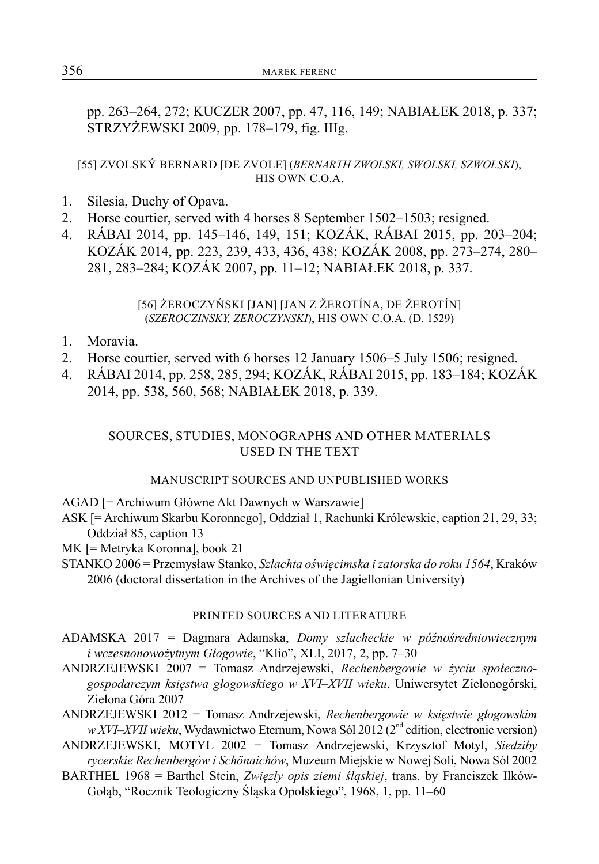pp. 263–264, 272; KUCZER 2007, pp. 47, 116, 149; NABIAŁEK 2018, p. 337; STRZYŻEWSKI 2009, pp. 178–179, fig. IIIg.

#### [55] ZVOLSKÝ BERNARD [DE ZVOLE] (*BERNARTH ZWOLSKI, SWOLSKI, SZWOLSKI*), HIS OWN C.O.A.

- 1. Silesia, Duchy of Opava.
- 2. Horse courtier, served with 4 horses 8 September 1502–1503; resigned.
- 4. RÁBAI 2014, pp. 145–146, 149, 151; KOZÁK, RÁBAI 2015, pp. 203–204; KOZÁK 2014, pp. 223, 239, 433, 436, 438; KOZÁK 2008, pp. 273–274, 280– 281, 283–284; KOZÁK 2007, pp. 11–12; NABIAŁEK 2018, p. 337.

#### [56] ŻEROCZYŃSKI [JAN] [JAN Z ŽEROTÍNA, DE ŽEROTÍN] (*SZEROCZINSKY, ZEROCZYNSKI*), HIS OWN C.O.A. (D. 1529)

- 1. Moravia.
- 2. Horse courtier, served with 6 horses 12 January 1506–5 July 1506; resigned.
- 4. RÁBAI 2014, pp. 258, 285, 294; KOZÁK, RÁBAI 2015, pp. 183–184; KOZÁK 2014, pp. 538, 560, 568; NABIAŁEK 2018, p. 339.

# SOURCES, STUDIES, MONOGRAPHS AND OTHER MATERIALS USED IN THE TEXT

#### MANUSCRIPT SOURCES AND UNPUBLISHED WORKS

AGAD [= Archiwum Główne Akt Dawnych w Warszawie]

ASK [= Archiwum Skarbu Koronnego], Oddział 1, Rachunki Królewskie, caption 21, 29, 33; Oddział 85, caption 13

MK [= Metryka Koronna], book 21

STANKO 2006 = Przemysław Stanko, *Szlachta oświęcimska i zatorska do roku 1564*, Kraków 2006 (doctoral dissertation in the Archives of the Jagiellonian University)

#### PRINTED SOURCES AND LITERATURE

ADAMSKA 2017 = Dagmara Adamska, *Domy szlacheckie w późnośredniowiecznym i wczesnonowożytnym Głogowie*, "Klio", XLI, 2017, 2, pp. 7–30

ANDRZEJEWSKI 2007 = Tomasz Andrzejewski, *Rechenbergowie w życiu społecznogospodarczym księstwa głogowskiego w XVI–XVII wieku*, Uniwersytet Zielonogórski, Zielona Góra 2007

ANDRZEJEWSKI 2012 = Tomasz Andrzejewski, *Rechenbergowie w księstwie głogowskim w XVI–XVII wieku*, Wydawnictwo Eternum, Nowa Sól 2012 (2<sup>nd</sup> edition, electronic version)

ANDRZEJEWSKI, MOTYL 2002 = Tomasz Andrzejewski, Krzysztof Motyl, *Siedziby rycerskie Rechenbergów i Schönaichów*, Muzeum Miejskie w Nowej Soli, Nowa Sól 2002

BARTHEL 1968 = Barthel Stein, *Zwięzły opis ziemi śląskiej*, trans. by Franciszek Ilków-Gołąb, "Rocznik Teologiczny Śląska Opolskiego", 1968, 1, pp. 11–60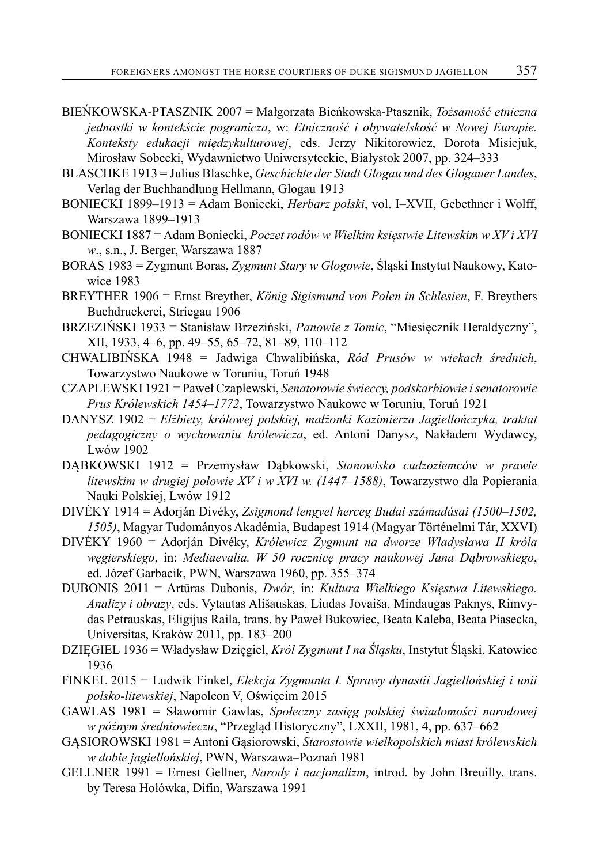- BIEŃKOWSKA-PTASZNIK 2007 = Małgorzata Bieńkowska-Ptasznik, *Tożsamość etniczna jednostki w kontekście pogranicza*, w: *Etniczność i obywatelskość w Nowej Europie. Konteksty edukacji międzykulturowej*, eds. Jerzy Nikitorowicz, Dorota Misiejuk, Mirosław Sobecki, Wydawnictwo Uniwersyteckie, Białystok 2007, pp. 324–333
- BLASCHKE 1913 = Julius Blaschke, *Geschichte der Stadt Glogau und des Glogauer Landes*, Verlag der Buchhandlung Hellmann, Glogau 1913
- BONIECKI 1899–1913 = Adam Boniecki, *Herbarz polski*, vol. I–XVII, Gebethner i Wolff, Warszawa 1899–1913
- BONIECKI 1887 = Adam Boniecki, *Poczet rodów w Wielkim księstwie Litewskim w XV i XVI w*., s.n., J. Berger, Warszawa 1887
- BORAS 1983 = Zygmunt Boras, *Zygmunt Stary w Głogowie*, Śląski Instytut Naukowy, Katowice 1983
- BREYTHER 1906 = Ernst Breyther, *König Sigismund von Polen in Schlesien*, F. Breythers Buchdruckerei, Striegau 1906
- BRZEZIŃSKI 1933 = Stanisław Brzeziński, *Panowie z Tomic*, "Miesięcznik Heraldyczny", XII, 1933, 4–6, pp. 49–55, 65–72, 81–89, 110–112
- CHWALIBIŃSKA 1948 = Jadwiga Chwalibińska, *Ród Prusów w wiekach średnich*, Towarzystwo Naukowe w Toruniu, Toruń 1948
- CZAPLEWSKI 1921 = Paweł Czaplewski, *Senatorowie świeccy, podskarbiowie i senatorowie Prus Królewskich 1454–1772*, Towarzystwo Naukowe w Toruniu, Toruń 1921
- DANYSZ 1902 = *Elżbiety, królowej polskiej, małżonki Kazimierza Jagiellończyka, traktat pedagogiczny o wychowaniu królewicza*, ed. Antoni Danysz, Nakładem Wydawcy, Lwów 1902
- DĄBKOWSKI 1912 = Przemysław Dąbkowski, *Stanowisko cudzoziemców w prawie litewskim w drugiej połowie XV i w XVI w. (1447–1588)*, Towarzystwo dla Popierania Nauki Polskiej, Lwów 1912
- DIVĖKY 1914 = Adorján Divéky, *Zsigmond lengyel herceg Budai számadásai (1500–1502, 1505)*, Magyar Tudományos Akadémia, Budapest 1914 (Magyar Történelmi Tár, XXVI)
- DIVĖKY 1960 = Adorján Divéky, *Królewicz Zygmunt na dworze Władysława II króla węgierskiego*, in: *Mediaevalia. W 50 rocznicę pracy naukowej Jana Dąbrowskiego*, ed. Józef Garbacik, PWN, Warszawa 1960, pp. 355–374
- DUBONIS 2011 = Artūras Dubonis, *Dwór*, in: *Kultura Wielkiego Księstwa Litewskiego. Analizy i obrazy*, eds. Vytautas Ališauskas, Liudas Jovaiša, Mindaugas Paknys, Rimvydas Petrauskas, Eligijus Raila, trans. by Paweł Bukowiec, Beata Kaleba, Beata Piasecka, Universitas, Kraków 2011, pp. 183–200
- DZIĘGIEL 1936 = Władysław Dzięgiel, *Król Zygmunt I na Śląsku*, Instytut Śląski, Katowice 1936
- FINKEL 2015 = Ludwik Finkel, *Elekcja Zygmunta I. Sprawy dynastii Jagiellońskiej i unii polsko-litewskiej*, Napoleon V, Oświęcim 2015
- GAWLAS 1981 = Sławomir Gawlas, *Społeczny zasięg polskiej świadomości narodowej w późnym średniowieczu*, "Przegląd Historyczny", LXXII, 1981, 4, pp. 637–662
- GĄSIOROWSKI 1981 = Antoni Gąsiorowski, *Starostowie wielkopolskich miast królewskich w dobie jagiellońskiej*, PWN, Warszawa–Poznań 1981
- GELLNER 1991 = Ernest Gellner, *Narody i nacjonalizm*, introd. by John Breuilly, trans. by Teresa Hołówka, Difin, Warszawa 1991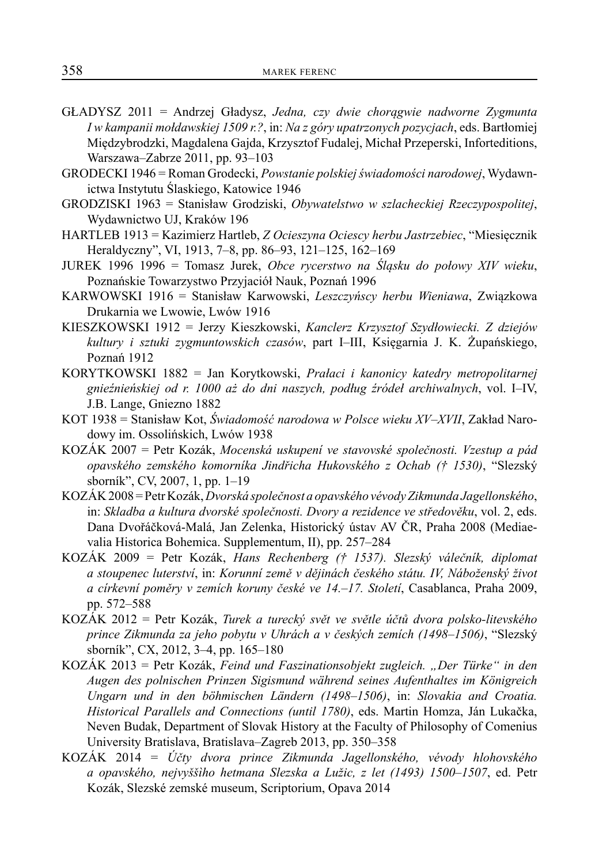- GŁADYSZ 2011 = Andrzej Gładysz, *Jedna, czy dwie chorągwie nadworne Zygmunta I w kampanii mołdawskiej 1509 r.?*, in: *Na z góry upatrzonych pozycjach*, eds. Bartłomiej Międzybrodzki, Magdalena Gajda, Krzysztof Fudalej, Michał Przeperski, Inforteditions, Warszawa–Zabrze 2011, pp. 93–103
- GRODECKI 1946 = Roman Grodecki, *Powstanie polskiej świadomości narodowej*, Wydawnictwa Instytutu Ślaskiego, Katowice 1946
- GRODZISKI 1963 = Stanisław Grodziski, *Obywatelstwo w szlacheckiej Rzeczypospolitej*, Wydawnictwo UJ, Kraków 196
- HARTLEB 1913 = Kazimierz Hartleb, *Z Ocieszyna Ociescy herbu Jastrzebiec*, "Miesięcznik Heraldyczny", VI, 1913, 7–8, pp. 86–93, 121–125, 162–169
- JUREK 1996 1996 = Tomasz Jurek, *Obce rycerstwo na Śląsku do połowy XIV wieku*, Poznańskie Towarzystwo Przyjaciół Nauk, Poznań 1996
- KARWOWSKI 1916 = Stanisław Karwowski, *Leszczyńscy herbu Wieniawa*, Związkowa Drukarnia we Lwowie, Lwów 1916
- KIESZKOWSKI 1912 = Jerzy Kieszkowski, *Kanclerz Krzysztof Szydłowiecki. Z dziejów kultury i sztuki zygmuntowskich czasów*, part I–III, Księgarnia J. K. Żupańskiego, Poznań 1912
- KORYTKOWSKI 1882 = Jan Korytkowski, *Prałaci i kanonicy katedry metropolitarnej gnieźnieńskiej od r. 1000 aż do dni naszych, podług źródeł archiwalnych*, vol. I–IV, J.B. Lange, Gniezno 1882
- KOT 1938 = Stanisław Kot, *Świadomość narodowa w Polsce wieku XV–XVII*, Zakład Narodowy im. Ossolińskich, Lwów 1938
- KOZÁK 2007 = Petr Kozák, *Mocenská uskupení ve stavovské společnosti. Vzestup a pád opavského zemského komorníka Jindřicha Hukovského z Ochab († 1530)*, "Slezský sborník", CV, 2007, 1, pp. 1–19
- KOZÁK 2008 = Petr Kozák, *Dvorská společnost a opavského vévody Zikmunda Jagellonského*, in: *Skladba a kultura dvorské společnosti. Dvory a rezidence ve středověku*, vol. 2, eds. Dana Dvořáčková-Malá, Jan Zelenka, Historický ústav AV ČR, Praha 2008 (Mediaevalia Historica Bohemica. Supplementum, II), pp. 257–284
- KOZÁK 2009 = Petr Kozák, *Hans Rechenberg († 1537). Slezský válečník, diplomat a stoupenec luterství*, in: *Korunní země v dějinách českého státu. IV, Náboženský život a církevní poměry v zemích koruny české ve 14.–17. Století*, Casablanca, Praha 2009, pp. 572–588
- KOZÁK 2012 = Petr Kozák, *Turek a turecký svět ve světle účtů dvora polsko-litevského prince Zikmunda za jeho pobytu v Uhrách a v českých zemích (1498–1506)*, "Slezský sborník", CX, 2012, 3–4, pp. 165–180
- KOZÁK 2013 = Petr Kozák, *Feind und Faszinationsobjekt zugleich. "Der Türke" in den Augen des polnischen Prinzen Sigismund während seines Aufenthaltes im Königreich Ungarn und in den böhmischen Ländern (1498–1506)*, in: *Slovakia and Croatia. Historical Parallels and Connections (until 1780)*, eds. Martin Homza, Ján Lukačka, Neven Budak, Department of Slovak History at the Faculty of Philosophy of Comenius University Bratislava, Bratislava–Zagreb 2013, pp. 350–358
- KOZÁK 2014 = *Účty dvora prince Zikmunda Jagellonského, vévody hlohovského a opavského, nejvyššìho hetmana Slezska a Lužic, z let (1493) 1500–1507*, ed. Petr Kozák, Slezské zemské museum, Scriptorium, Opava 2014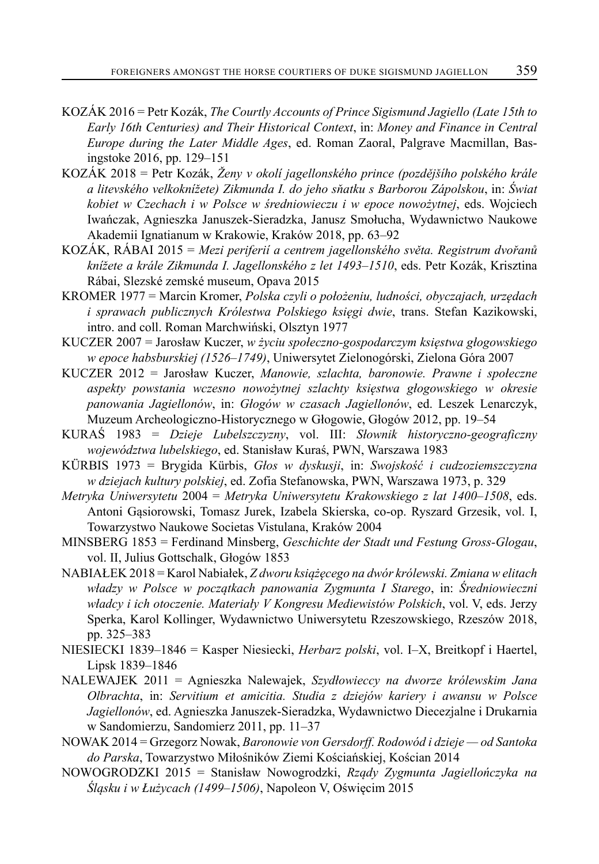- KOZÁK 2016 = Petr Kozák, *The Courtly Accounts of Prince Sigismund Jagiello (Late 15th to Early 16th Centuries) and Their Historical Context*, in: *Money and Finance in Central Europe during the Later Middle Ages*, ed. Roman Zaoral, Palgrave Macmillan, Basingstoke 2016, pp. 129–151
- KOZÁK 2018 = Petr Kozák, *Ženy v okolí jagellonského prince (pozdějšího polského krále a litevského velkoknížete) Zikmunda I. do jeho sňatku s Barborou Zápolskou*, in: *Świat kobiet w Czechach i w Polsce w średniowieczu i w epoce nowożytnej*, eds. Wojciech Iwańczak, Agnieszka Januszek-Sieradzka, Janusz Smołucha, Wydawnictwo Naukowe Akademii Ignatianum w Krakowie, Kraków 2018, pp. 63–92
- KOZÁK, RÁBAI 2015 = *Mezi periferií a centrem jagellonského světa. Registrum dvořanů knížete a krále Zikmunda I. Jagellonského z let 1493–1510*, eds. Petr Kozák, Krisztina Rábai, Slezské zemské museum, Opava 2015
- KROMER 1977 = Marcin Kromer, *Polska czyli o położeniu, ludności, obyczajach, urzędach i sprawach publicznych Królestwa Polskiego księgi dwie*, trans. Stefan Kazikowski, intro. and coll. Roman Marchwiński, Olsztyn 1977
- KUCZER 2007 = Jarosław Kuczer, *w życiu społeczno-gospodarczym księstwa głogowskiego w epoce habsburskiej (1526–1749)*, Uniwersytet Zielonogórski, Zielona Góra 2007
- KUCZER 2012 = Jarosław Kuczer, *Manowie, szlachta, baronowie. Prawne i społeczne aspekty powstania wczesno nowożytnej szlachty księstwa głogowskiego w okresie panowania Jagiellonów*, in: *Głogów w czasach Jagiellonów*, ed. Leszek Lenarczyk, Muzeum Archeologiczno-Historycznego w Głogowie, Głogów 2012, pp. 19–54
- KURAŚ 1983 = *Dzieje Lubelszczyzny*, vol. III: *Słownik historyczno-geograficzny województwa lubelskiego*, ed. Stanisław Kuraś, PWN, Warszawa 1983
- KÜRBIS 1973 = Brygida Kürbis, *Głos w dyskusji*, in: *Swojskość i cudzoziemszczyzna w dziejach kultury polskiej*, ed. Zofia Stefanowska, PWN, Warszawa 1973, p. 329
- *Metryka Uniwersytetu* 2004 = *Metryka Uniwersytetu Krakowskiego z lat 1400–1508*, eds. Antoni Gąsiorowski, Tomasz Jurek, Izabela Skierska, co-op. Ryszard Grzesik, vol. I, Towarzystwo Naukowe Societas Vistulana, Kraków 2004
- MINSBERG 1853 = Ferdinand Minsberg, *Geschichte der Stadt und Festung Gross-Glogau*, vol. II, Julius Gottschalk, Głogów 1853
- NABIAŁEK 2018 = Karol Nabiałek, *Z dworu książęcego na dwór królewski. Zmiana w elitach władzy w Polsce w początkach panowania Zygmunta I Starego*, in: *Średniowieczni władcy i ich otoczenie. Materiały V Kongresu Mediewistów Polskich*, vol. V, eds. Jerzy Sperka, Karol Kollinger, Wydawnictwo Uniwersytetu Rzeszowskiego, Rzeszów 2018, pp. 325–383
- NIESIECKI 1839–1846 = Kasper Niesiecki, *Herbarz polski*, vol. I–X, Breitkopf i Haertel, Lipsk 1839–1846
- NALEWAJEK 2011 = Agnieszka Nalewajek, *Szydłowieccy na dworze królewskim Jana Olbrachta*, in: *Servitium et amicitia. Studia z dziejów kariery i awansu w Polsce Jagiellonów*, ed. Agnieszka Januszek-Sieradzka, Wydawnictwo Diecezjalne i Drukarnia w Sandomierzu, Sandomierz 2011, pp. 11–37
- NOWAK 2014 = Grzegorz Nowak, *Baronowie von Gersdorff. Rodowód i dzieje od Santoka do Parska*, Towarzystwo Miłośników Ziemi Kościańskiej, Kościan 2014
- NOWOGRODZKI 2015 = Stanisław Nowogrodzki, *Rządy Zygmunta Jagiellończyka na Śląsku i w Łużycach (1499–1506)*, Napoleon V, Oświęcim 2015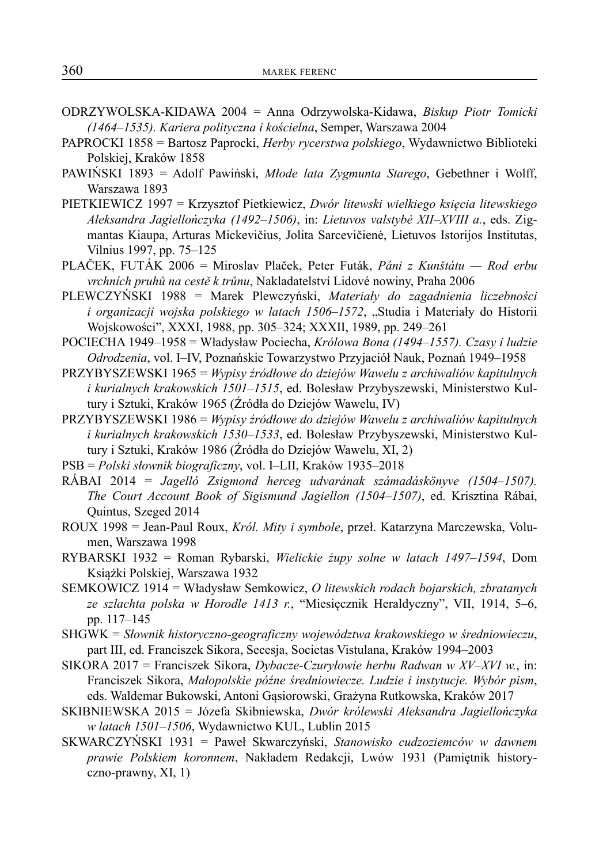- ODRZYWOLSKA-KIDAWA 2004 = Anna Odrzywolska-Kidawa, *Biskup Piotr Tomicki (1464–1535). Kariera polityczna i kościelna*, Semper, Warszawa 2004
- PAPROCKI 1858 = Bartosz Paprocki, *Herby rycerstwa polskiego*, Wydawnictwo Biblioteki Polskiej, Kraków 1858
- PAWIŃSKI 1893 = Adolf Pawiński, *Młode lata Zygmunta Starego*, Gebethner i Wolff, Warszawa 1893
- PIETKIEWICZ 1997 = Krzysztof Pietkiewicz, *Dwór litewski wielkiego księcia litewskiego Aleksandra Jagiellończyka (1492–1506)*, in: *Lietuvos valstybė XII–XVIII a.*, eds. Zigmantas Kiaupa, Arturas Mickevičius, Jolita Sarcevičienė, Lietuvos Istorijos Institutas, Vilnius 1997, pp. 75–125
- PLAČEK, FUTÁK 2006 = Miroslav Plaček, Peter Futák, *Páni z Kunštátu Rod erbu vrchních pruhů na cestě k trůnu*, Nakladatelství Lidové nowiny, Praha 2006
- PLEWCZYŃSKI 1988 = Marek Plewczyński, *Materiały do zagadnienia liczebności i organizacji wojska polskiego w latach 1506–1572*, "Studia i Materiały do Historii Wojskowości", XXXI, 1988, pp. 305–324; XXXII, 1989, pp. 249–261
- POCIECHA 1949–1958 = Władysław Pociecha, *Królowa Bona (1494–1557). Czasy i ludzie Odrodzenia*, vol. I–IV, Poznańskie Towarzystwo Przyjaciół Nauk, Poznań 1949–1958
- PRZYBYSZEWSKI 1965 = *Wypisy źródłowe do dziejów Wawelu z archiwaliów kapitulnych i kurialnych krakowskich 1501–1515*, ed. Bolesław Przybyszewski, Ministerstwo Kultury i Sztuki, Kraków 1965 (Źródła do Dziejów Wawelu, IV)
- PRZYBYSZEWSKI 1986 = *Wypisy źródłowe do dziejów Wawelu z archiwaliów kapitulnych i kurialnych krakowskich 1530–1533*, ed. Bolesław Przybyszewski, Ministerstwo Kultury i Sztuki, Kraków 1986 (Źródła do Dziejów Wawelu, XI, 2)
- PSB = *Polski słownik biograficzny*, vol. I–LII, Kraków 1935–2018
- RÁBAI 2014 = *Jagelló Zsigmond herceg udvarának számadáskönyve (1504–1507). The Court Account Book of Sigismund Jagiellon (1504–1507)*, ed. Krisztina Rábai, Quintus, Szeged 2014
- ROUX 1998 = Jean-Paul Roux, *Król. Mity i symbole*, przeł. Katarzyna Marczewska, Volumen, Warszawa 1998
- RYBARSKI 1932 = Roman Rybarski, *Wielickie żupy solne w latach 1497–1594*, Dom Książki Polskiej, Warszawa 1932
- SEMKOWICZ 1914 = Władysław Semkowicz, *O litewskich rodach bojarskich, zbratanych ze szlachta polska w Horodle 1413 r.*, "Miesięcznik Heraldyczny", VII, 1914, 5–6, pp. 117–145
- SHGWK = *Słownik historyczno-geograficzny województwa krakowskiego w średniowieczu*, part III, ed. Franciszek Sikora, Secesja, Societas Vistulana, Kraków 1994–2003
- SIKORA 2017 = Franciszek Sikora, *Dybacze-Czuryłowie herbu Radwan w XV–XVI w.*, in: Franciszek Sikora, *Małopolskie późne średniowiecze. Ludzie i instytucje. Wybór pism*, eds. Waldemar Bukowski, Antoni Gąsiorowski, Grażyna Rutkowska, Kraków 2017
- SKIBNIEWSKA 2015 = Józefa Skibniewska, *Dwór królewski Aleksandra Jagiellończyka w latach 1501–1506*, Wydawnictwo KUL, Lublin 2015
- SKWARCZYŃSKI 1931 = Paweł Skwarczyński, *Stanowisko cudzoziemców w dawnem prawie Polskiem koronnem*, Nakładem Redakcji, Lwów 1931 (Pamiętnik historyczno-prawny, XI, 1)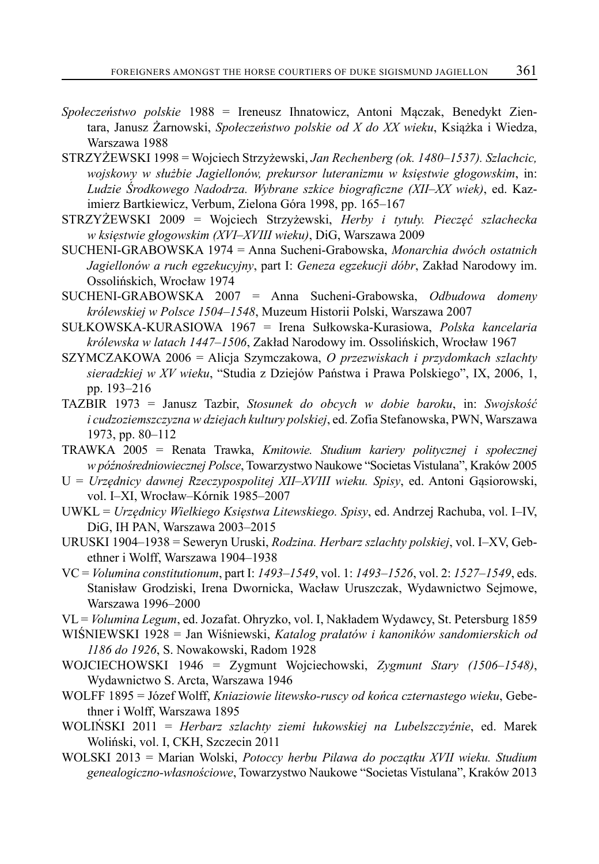- *Społeczeństwo polskie* 1988 = Ireneusz Ihnatowicz, Antoni Mączak, Benedykt Zientara, Janusz Żarnowski, *Społeczeństwo polskie od X do XX wieku*, Książka i Wiedza, Warszawa 1988
- STRZYŻEWSKI 1998 = Wojciech Strzyżewski, *Jan Rechenberg (ok. 1480–1537). Szlachcic, wojskowy w służbie Jagiellonów, prekursor luteranizmu w księstwie głogowskim*, in: *Ludzie Środkowego Nadodrza. Wybrane szkice biograficzne (XII–XX wiek)*, ed. Kazimierz Bartkiewicz, Verbum, Zielona Góra 1998, pp. 165–167
- STRZYŻEWSKI 2009 = Wojciech Strzyżewski, *Herby i tytuły. Pieczęć szlachecka w księstwie głogowskim (XVI–XVIII wieku)*, DiG, Warszawa 2009
- SUCHENI-GRABOWSKA 1974 = Anna Sucheni-Grabowska, *Monarchia dwóch ostatnich Jagiellonów a ruch egzekucyjny*, part I: *Geneza egzekucji dóbr*, Zakład Narodowy im. Ossolińskich, Wrocław 1974
- SUCHENI-GRABOWSKA 2007 = Anna Sucheni-Grabowska, *Odbudowa domeny królewskiej w Polsce 1504–1548*, Muzeum Historii Polski, Warszawa 2007
- SUŁKOWSKA-KURASIOWA 1967 = Irena Sułkowska-Kurasiowa, *Polska kancelaria królewska w latach 1447–1506*, Zakład Narodowy im. Ossolińskich, Wrocław 1967
- SZYMCZAKOWA 2006 = Alicja Szymczakowa, *O przezwiskach i przydomkach szlachty sieradzkiej w XV wieku*, "Studia z Dziejów Państwa i Prawa Polskiego", IX, 2006, 1, pp. 193–216
- TAZBIR 1973 = Janusz Tazbir, *Stosunek do obcych w dobie baroku*, in: *Swojskość i cudzoziemszczyzna w dziejach kultury polskiej*, ed. Zofia Stefanowska, PWN, Warszawa 1973, pp. 80–112
- TRAWKA 2005 = Renata Trawka, *Kmitowie. Studium kariery politycznej i społecznej w późnośredniowiecznej Polsce*, Towarzystwo Naukowe "Societas Vistulana", Kraków 2005
- U = *Urzędnicy dawnej Rzeczypospolitej XII–XVIII wieku. Spisy*, ed. Antoni Gąsiorowski, vol. I–XI, Wrocław–Kórnik 1985–2007
- UWKL = *Urzędnicy Wielkiego Księstwa Litewskiego. Spisy*, ed. Andrzej Rachuba, vol. I–IV, DiG, IH PAN, Warszawa 2003–2015
- URUSKI 1904–1938 = Seweryn Uruski, *Rodzina. Herbarz szlachty polskiej*, vol. I–XV, Gebethner i Wolff, Warszawa 1904–1938
- VC = *Volumina constitutionum*, part I: *1493–1549*, vol. 1: *1493–1526*, vol. 2: *1527–1549*, eds. Stanisław Grodziski, Irena Dwornicka, Wacław Uruszczak, Wydawnictwo Sejmowe, Warszawa 1996–2000
- VL = *Volumina Legum*, ed. Jozafat. Ohryzko, vol. I, Nakładem Wydawcy, St. Petersburg 1859
- WIŚNIEWSKI 1928 = Jan Wiśniewski, *Katalog prałatów i kanoników sandomierskich od 1186 do 1926*, S. Nowakowski, Radom 1928
- WOJCIECHOWSKI 1946 = Zygmunt Wojciechowski, *Zygmunt Stary (1506–1548)*, Wydawnictwo S. Arcta, Warszawa 1946
- WOLFF 1895 = Józef Wolff, *Kniaziowie litewsko-ruscy od końca czternastego wieku*, Gebethner i Wolff, Warszawa 1895
- WOLIŃSKI 2011 = *Herbarz szlachty ziemi łukowskiej na Lubelszczyźnie*, ed. Marek Woliński, vol. I, CKH, Szczecin 2011
- WOLSKI 2013 = Marian Wolski, *Potoccy herbu Pilawa do początku XVII wieku. Studium genealogiczno-własnościowe*, Towarzystwo Naukowe "Societas Vistulana", Kraków 2013